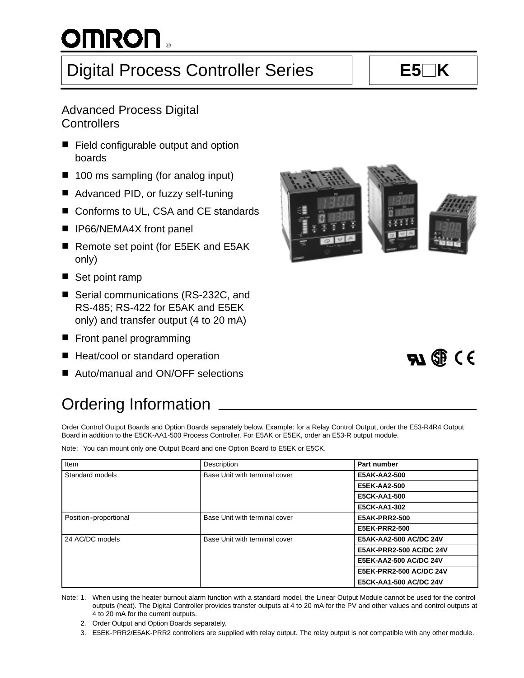# $^{\circledR}$

# Digital Process Controller Series **E5K**

## Advanced Process Digital **Controllers**

- Field configurable output and option boards
- 100 ms sampling (for analog input)
- Advanced PID, or fuzzy self-tuning
- Conforms to UL, CSA and CE standards
- **F** IP66/NEMA4X front panel
- Remote set point (for E5EK and E5AK only)
- Set point ramp
- Serial communications (RS-232C, and RS-485; RS-422 for E5AK and E5EK only) and transfer output (4 to 20 mA)
- Front panel programming
- Heat/cool or standard operation
- Auto/manual and ON/OFF selections

# Ordering Information

Order Control Output Boards and Option Boards separately below. Example: for a Relay Control Output, order the E53-R4R4 Output Board in addition to the E5CK-AA1-500 Process Controller. For E5AK or E5EK, order an E53-R output module.

Note: You can mount only one Output Board and one Option Board to E5EK or E5CK.

| Item                  | Description                   | Part number                    |
|-----------------------|-------------------------------|--------------------------------|
| Standard models       | Base Unit with terminal cover | E5AK-AA2-500                   |
|                       |                               | <b>E5EK-AA2-500</b>            |
|                       |                               | <b>E5CK-AA1-500</b>            |
|                       |                               | E5CK-AA1-302                   |
| Position-proportional | Base Unit with terminal cover | <b>E5AK-PRR2-500</b>           |
|                       |                               | <b>E5EK-PRR2-500</b>           |
| 24 AC/DC models       | Base Unit with terminal cover | E5AK-AA2-500 AC/DC 24V         |
|                       |                               | <b>E5AK-PRR2-500 AC/DC 24V</b> |
|                       |                               | <b>E5EK-AA2-500 AC/DC 24V</b>  |
|                       |                               | <b>E5EK-PRR2-500 AC/DC 24V</b> |
|                       |                               | E5CK-AA1-500 AC/DC 24V         |

Note: 1. When using the heater burnout alarm function with a standard model, the Linear Output Module cannot be used for the control outputs (heat). The Digital Controller provides transfer outputs at 4 to 20 mA for the PV and other values and control outputs at 4 to 20 mA for the current outputs.

- 2. Order Output and Option Boards separately.
- 3. E5EK-PRR2/E5AK-PRR2 controllers are supplied with relay output. The relay output is not compatible with any other module.



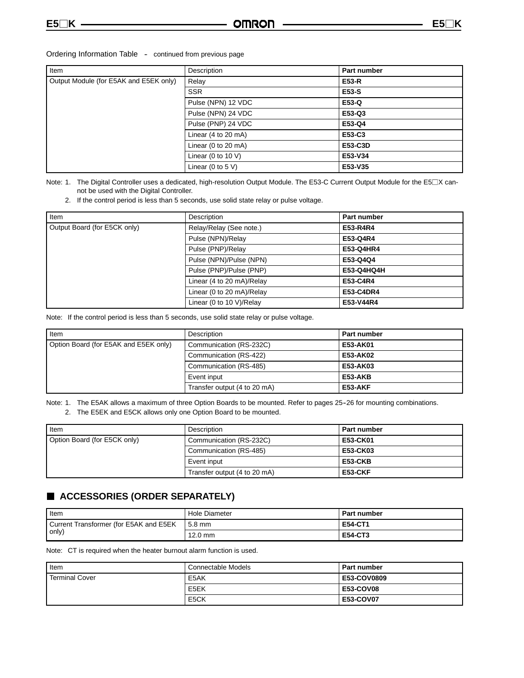| Ordering Information Table |  | continued from previous page |  |  |
|----------------------------|--|------------------------------|--|--|
|----------------------------|--|------------------------------|--|--|

| Item                                   | Description           | <b>Part number</b> |
|----------------------------------------|-----------------------|--------------------|
| Output Module (for E5AK and E5EK only) | Relay                 | <b>E53-R</b>       |
|                                        | <b>SSR</b>            | E53-S              |
|                                        | Pulse (NPN) 12 VDC    | E53-Q              |
|                                        | Pulse (NPN) 24 VDC    | E53-Q3             |
|                                        | Pulse (PNP) 24 VDC    | E53-Q4             |
|                                        | Linear $(4 to 20 mA)$ | E53-C3             |
|                                        | Linear (0 to 20 mA)   | E53-C3D            |
|                                        | Linear (0 to 10 V)    | E53-V34            |
|                                        | Linear (0 to 5 $V$ )  | E53-V35            |

Note: 1. The Digital Controller uses a dedicated, high-resolution Output Module. The E53-C Current Output Module for the E5 $\Box$ X cannot be used with the Digital Controller.

2. If the control period is less than 5 seconds, use solid state relay or pulse voltage.

| Item                         | Description               | Part number |
|------------------------------|---------------------------|-------------|
| Output Board (for E5CK only) | Relay/Relay (See note.)   | E53-R4R4    |
|                              | Pulse (NPN)/Relay         | E53-Q4R4    |
|                              | Pulse (PNP)/Relay         | E53-Q4HR4   |
|                              | Pulse (NPN)/Pulse (NPN)   | E53-Q4Q4    |
|                              | Pulse (PNP)/Pulse (PNP)   | E53-Q4HQ4H  |
|                              | Linear (4 to 20 mA)/Relay | E53-C4R4    |
|                              | Linear (0 to 20 mA)/Relay | E53-C4DR4   |
|                              | Linear (0 to 10 V)/Relay  | E53-V44R4   |

Note: If the control period is less than 5 seconds, use solid state relay or pulse voltage.

| Item                                  | Description                  | Part number |
|---------------------------------------|------------------------------|-------------|
| Option Board (for E5AK and E5EK only) | Communication (RS-232C)      | E53-AK01    |
|                                       | Communication (RS-422)       | E53-AK02    |
|                                       | Communication (RS-485)       | E53-AK03    |
|                                       | Event input                  | E53-AKB     |
|                                       | Transfer output (4 to 20 mA) | E53-AKF     |

Note: 1. The E5AK allows a maximum of three Option Boards to be mounted. Refer to pages 25-26 for mounting combinations.

2. The E5EK and E5CK allows only one Option Board to be mounted.

| <b>I</b> tem                 | Description                  | <b>Part number</b> |
|------------------------------|------------------------------|--------------------|
| Option Board (for E5CK only) | Communication (RS-232C)      | E53-CK01           |
|                              | Communication (RS-485)       | <b>E53-CK03</b>    |
|                              | Event input                  | E53-CKB            |
|                              | Transfer output (4 to 20 mA) | E53-CKF            |

## **ACCESSORIES (ORDER SEPARATELY)**

| I Item                                  | Hole Diameter | <b>Part number</b> |  |
|-----------------------------------------|---------------|--------------------|--|
| Current Transformer (for E5AK and E5EK) | $15.8$ mm     | <b>E54-CT1</b>     |  |
| only)                                   | 12.0 mm       | <b>E54-CT3</b>     |  |

Note: CT is required when the heater burnout alarm function is used.

| <b>I</b> tem          | Connectable Models | <b>Part number</b> |
|-----------------------|--------------------|--------------------|
| <b>Terminal Cover</b> | E5AK               | E53-COV0809        |
|                       | E5EK               | <b>E53-COV08</b>   |
|                       | E <sub>5</sub> CK  | <b>E53-COV07</b>   |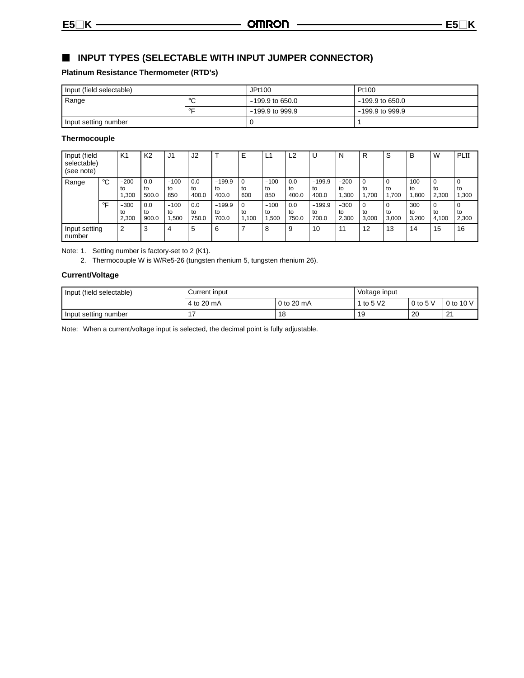## **INPUT TYPES (SELECTABLE WITH INPUT JUMPER CONNECTOR)**

### **Platinum Resistance Thermometer (RTD's)**

| Input (field selectable) |         | JPt100            | Pt100             |
|--------------------------|---------|-------------------|-------------------|
| Range                    | $\circ$ | $-199.9$ to 650.0 | $-199.9$ to 650.0 |
| ◦⊏                       |         | $-199.9$ to 999.9 | $-199.9$ to 999.9 |
| Input setting number     |         |                   |                   |

### **Thermocouple**

| Input (field<br>selectable)<br>(see note) |                    | K1                    | K <sub>2</sub>     | J1                   | J2                 |                         | E           | ┕                    | L2                 | U                       | N                     | R                       | ⌒<br>c      | B                  | W                | PLII        |
|-------------------------------------------|--------------------|-----------------------|--------------------|----------------------|--------------------|-------------------------|-------------|----------------------|--------------------|-------------------------|-----------------------|-------------------------|-------------|--------------------|------------------|-------------|
| Range                                     | °C                 | $-200$<br>to<br>,300  | 0.0<br>to<br>500.0 | $-100$<br>to<br>850  | 0.0<br>to<br>400.0 | $-199.9$<br>to<br>400.0 | to<br>600   | $-100$<br>to<br>850  | 0.0<br>to<br>400.0 | $-199.9$<br>to<br>400.0 | $-200$<br>to<br>.300  | to<br>.700              | to<br>.700  | 100<br>to<br>1.800 | to<br>2,300      | to<br>1,300 |
|                                           | $\circ \mathsf{F}$ | $-300$<br>to<br>2,300 | 0.0<br>to<br>900.0 | $-100$<br>to<br>.500 | 0.0<br>to<br>750.0 | $-199.9$<br>to<br>700.0 | to<br>1.100 | $-100$<br>to<br>.500 | 0.0<br>to<br>750.0 | $-199.9$<br>to<br>700.0 | $-300$<br>to<br>2.300 | $\Omega$<br>to<br>3.000 | to<br>3.000 | 300<br>to<br>3.200 | 0<br>to<br>4.100 | to<br>2,300 |
| Input setting<br>number                   |                    | $\cdot$ 2             | 3                  | 4                    | 5                  | 6                       |             | 8                    | 9                  | 10                      | 11                    | 12                      | 13          | 14                 | 15               | 16          |

Note: 1. Setting number is factory-set to 2 (K1).

2. Thermocouple W is W/Re5-26 (tungsten rhenium 5, tungsten rhenium 26).

### **Current/Voltage**

| Input (field selectable) | Current input | Voltage input |          |           |    |
|--------------------------|---------------|---------------|----------|-----------|----|
|                          | 4 to 20 mA    | to 5 V2       | $0$ to 5 | 0 to 10 V |    |
| Input setting number     |               | 18            | 19       | 20        | 21 |

Note: When a current/voltage input is selected, the decimal point is fully adjustable.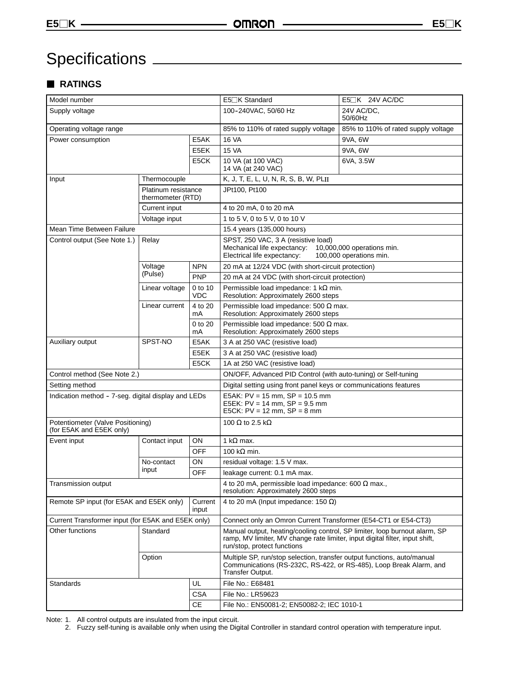# Specifications

## **RATINGS**

| Model number                                                  |                                          |                       | E5□K Standard<br>E5 <sup>IK</sup> 24V AC/DC                                                                                                                                               |                                     |  |  |  |
|---------------------------------------------------------------|------------------------------------------|-----------------------|-------------------------------------------------------------------------------------------------------------------------------------------------------------------------------------------|-------------------------------------|--|--|--|
| Supply voltage                                                |                                          |                       | 100-240VAC, 50/60 Hz                                                                                                                                                                      | 24V AC/DC.<br>50/60Hz               |  |  |  |
| Operating voltage range                                       |                                          |                       | 85% to 110% of rated supply voltage                                                                                                                                                       | 85% to 110% of rated supply voltage |  |  |  |
| Power consumption                                             |                                          | E5AK                  | <b>16 VA</b>                                                                                                                                                                              | 9VA, 6W                             |  |  |  |
|                                                               |                                          | E5EK                  | <b>15 VA</b>                                                                                                                                                                              | 9VA, 6W                             |  |  |  |
|                                                               |                                          | E5CK                  | 10 VA (at 100 VAC)<br>6VA, 3.5W<br>14 VA (at 240 VAC)                                                                                                                                     |                                     |  |  |  |
| Input<br>Thermocouple                                         |                                          |                       | K, J, T, E, L, U, N, R, S, B, W, PLII                                                                                                                                                     |                                     |  |  |  |
|                                                               | Platinum resistance<br>thermometer (RTD) |                       | JPt100, Pt100                                                                                                                                                                             |                                     |  |  |  |
|                                                               | Current input                            |                       | 4 to 20 mA, 0 to 20 mA                                                                                                                                                                    |                                     |  |  |  |
|                                                               | Voltage input                            |                       | 1 to 5 V, 0 to 5 V, 0 to 10 V                                                                                                                                                             |                                     |  |  |  |
| Mean Time Between Failure                                     |                                          |                       | 15.4 years (135,000 hours)                                                                                                                                                                |                                     |  |  |  |
| Control output (See Note 1.)                                  | Relay                                    |                       | SPST, 250 VAC, 3 A (resistive load)<br>Mechanical life expectancy: 10,000,000 operations min.<br>Electrical life expectancy:                                                              | 100,000 operations min.             |  |  |  |
|                                                               | Voltage                                  | <b>NPN</b>            | 20 mA at 12/24 VDC (with short-circuit protection)                                                                                                                                        |                                     |  |  |  |
|                                                               | (Pulse)                                  | PNP                   | 20 mA at 24 VDC (with short-circuit protection)                                                                                                                                           |                                     |  |  |  |
|                                                               | Linear voltage                           | 0 to 10<br><b>VDC</b> | Permissible load impedance: 1 k $\Omega$ min.<br>Resolution: Approximately 2600 steps                                                                                                     |                                     |  |  |  |
|                                                               | Linear current                           | 4 to 20<br>mA         | Permissible load impedance: 500 $\Omega$ max.<br>Resolution: Approximately 2600 steps                                                                                                     |                                     |  |  |  |
| 0 to 20<br>mA                                                 |                                          |                       | Permissible load impedance: 500 $\Omega$ max.<br>Resolution: Approximately 2600 steps                                                                                                     |                                     |  |  |  |
| Auxiliary output                                              | SPST-NO                                  | E5AK                  | 3 A at 250 VAC (resistive load)                                                                                                                                                           |                                     |  |  |  |
|                                                               |                                          | E5EK                  | 3 A at 250 VAC (resistive load)                                                                                                                                                           |                                     |  |  |  |
|                                                               |                                          | E5CK                  | 1A at 250 VAC (resistive load)                                                                                                                                                            |                                     |  |  |  |
| Control method (See Note 2.)                                  |                                          |                       | ON/OFF, Advanced PID Control (with auto-tuning) or Self-tuning                                                                                                                            |                                     |  |  |  |
| Setting method                                                |                                          |                       | Digital setting using front panel keys or communications features                                                                                                                         |                                     |  |  |  |
| Indication method - 7-seg. digital display and LEDs           |                                          |                       | E5AK: $PV = 15$ mm, $SP = 10.5$ mm<br>E5EK: $PV = 14$ mm, $SP = 9.5$ mm<br>E5CK: $PV = 12$ mm, $SP = 8$ mm                                                                                |                                     |  |  |  |
| Potentiometer (Valve Positioning)<br>(for E5AK and E5EK only) |                                          |                       | 100 $\Omega$ to 2.5 k $\Omega$                                                                                                                                                            |                                     |  |  |  |
| Event input                                                   | Contact input                            | ON                    | 1 k $\Omega$ max.                                                                                                                                                                         |                                     |  |  |  |
|                                                               |                                          | <b>OFF</b>            | 100 k $\Omega$ min.                                                                                                                                                                       |                                     |  |  |  |
|                                                               | No-contact                               | ON                    | residual voltage: 1.5 V max.                                                                                                                                                              |                                     |  |  |  |
|                                                               | input                                    | <b>OFF</b>            | leakage current: 0.1 mA max.                                                                                                                                                              |                                     |  |  |  |
| Transmission output                                           |                                          |                       | 4 to 20 mA, permissible load impedance: 600 $\Omega$ max.,<br>resolution: Approximately 2600 steps                                                                                        |                                     |  |  |  |
| Remote SP input (for E5AK and E5EK only)                      |                                          | Current<br>input      | 4 to 20 mA (Input impedance: 150 $\Omega$ )                                                                                                                                               |                                     |  |  |  |
| Current Transformer input (for E5AK and E5EK only)            |                                          |                       | Connect only an Omron Current Transformer (E54-CT1 or E54-CT3)                                                                                                                            |                                     |  |  |  |
| Other functions                                               | Standard<br>Option                       |                       | Manual output, heating/cooling control, SP limiter, loop burnout alarm, SP<br>ramp, MV limiter, MV change rate limiter, input digital filter, input shift,<br>run/stop, protect functions |                                     |  |  |  |
|                                                               |                                          |                       | Multiple SP, run/stop selection, transfer output functions, auto/manual<br>Communications (RS-232C, RS-422, or RS-485), Loop Break Alarm, and<br>Transfer Output.                         |                                     |  |  |  |
| Standards                                                     |                                          | UL                    | File No.: E68481                                                                                                                                                                          |                                     |  |  |  |
|                                                               |                                          | <b>CSA</b>            | File No.: LR59623                                                                                                                                                                         |                                     |  |  |  |
| <b>CE</b>                                                     |                                          |                       | File No.: EN50081-2; EN50082-2; IEC 1010-1                                                                                                                                                |                                     |  |  |  |

Note: 1. All control outputs are insulated from the input circuit.

2. Fuzzy self-tuning is available only when using the Digital Controller in standard control operation with temperature input.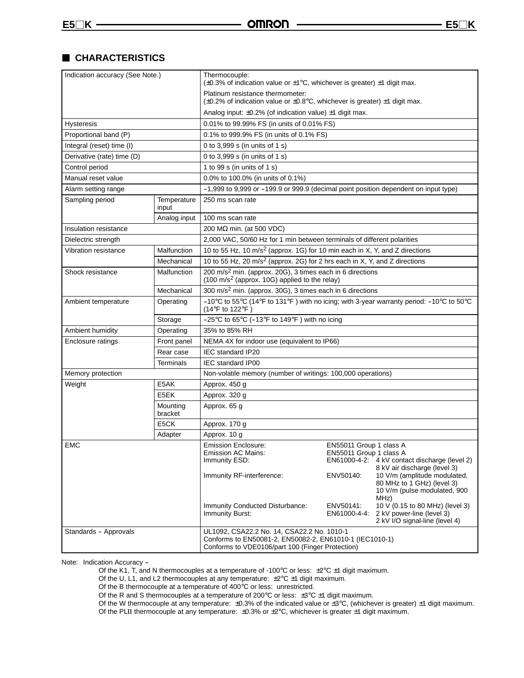## **CHARACTERISTICS**

| Indication accuracy (See Note.) |                      | Thermocouple:<br>$(\pm 0.3\%$ of indication value or $\pm 1\degree$ C, whichever is greater) $\pm 1$ digit max.                                           |                                                    |                                                                                                                                    |  |
|---------------------------------|----------------------|-----------------------------------------------------------------------------------------------------------------------------------------------------------|----------------------------------------------------|------------------------------------------------------------------------------------------------------------------------------------|--|
|                                 |                      | Platinum resistance thermometer:<br>$(\pm 0.2\%$ of indication value or $\pm 0.8^{\circ}$ C, whichever is greater) $\pm 1$ digit max.                     |                                                    |                                                                                                                                    |  |
|                                 |                      | Analog input: $\pm 0.2\%$ (of indication value) $\pm 1$ digit max.                                                                                        |                                                    |                                                                                                                                    |  |
| <b>Hysteresis</b>               |                      | 0.01% to 99.99% FS (in units of 0.01% FS)                                                                                                                 |                                                    |                                                                                                                                    |  |
| Proportional band (P)           |                      | 0.1% to 999.9% FS (in units of 0.1% FS)                                                                                                                   |                                                    |                                                                                                                                    |  |
| Integral (reset) time (I)       |                      | 0 to 3,999 s (in units of 1 s)                                                                                                                            |                                                    |                                                                                                                                    |  |
| Derivative (rate) time (D)      |                      | 0 to 3,999 s (in units of 1 s)                                                                                                                            |                                                    |                                                                                                                                    |  |
| Control period                  |                      | 1 to 99 s (in units of 1 s)                                                                                                                               |                                                    |                                                                                                                                    |  |
| Manual reset value              |                      | 0.0% to 100.0% (in units of 0.1%)                                                                                                                         |                                                    |                                                                                                                                    |  |
| Alarm setting range             |                      | -1,999 to 9,999 or -199.9 or 999.9 (decimal point position dependent on input type)                                                                       |                                                    |                                                                                                                                    |  |
| Sampling period                 | Temperature<br>input | 250 ms scan rate                                                                                                                                          |                                                    |                                                                                                                                    |  |
|                                 | Analog input         | 100 ms scan rate                                                                                                                                          |                                                    |                                                                                                                                    |  |
| Insulation resistance           |                      | 200 MΩ min. (at 500 VDC)                                                                                                                                  |                                                    |                                                                                                                                    |  |
| Dielectric strength             |                      | 2,000 VAC, 50/60 Hz for 1 min between terminals of different polarities                                                                                   |                                                    |                                                                                                                                    |  |
| Vibration resistance            | Malfunction          | 10 to 55 Hz, 10 m/s <sup>2</sup> (approx. 1G) for 10 min each in X, Y, and Z directions                                                                   |                                                    |                                                                                                                                    |  |
|                                 | Mechanical           | 10 to 55 Hz, 20 m/s <sup>2</sup> (approx. 2G) for 2 hrs each in X, Y, and Z directions                                                                    |                                                    |                                                                                                                                    |  |
| Shock resistance                | Malfunction          | 200 m/s <sup>2</sup> min. (approx. 20G), 3 times each in 6 directions<br>(100 m/s <sup>2</sup> (approx. 10G) applied to the relay)                        |                                                    |                                                                                                                                    |  |
|                                 | Mechanical           | 300 m/s <sup>2</sup> min. (approx. 30G), 3 times each in 6 directions                                                                                     |                                                    |                                                                                                                                    |  |
| Ambient temperature             | Operating            | -10°C to 55°C (14°F to 131°F) with no icing; with 3-year warranty period: -10°C to 50°C<br>(14°F to 122°F                                                 |                                                    |                                                                                                                                    |  |
|                                 | Storage              | $-25^{\circ}$ C to 65 $^{\circ}$ C (-13 $^{\circ}$ F to 149 $^{\circ}$ F) with no icing                                                                   |                                                    |                                                                                                                                    |  |
| Ambient humidity                | Operating            | 35% to 85% RH                                                                                                                                             |                                                    |                                                                                                                                    |  |
| Enclosure ratings               | Front panel          | NEMA 4X for indoor use (equivalent to IP66)                                                                                                               |                                                    |                                                                                                                                    |  |
|                                 | Rear case            | IEC standard IP20                                                                                                                                         |                                                    |                                                                                                                                    |  |
|                                 | Terminals            | <b>IEC standard IP00</b>                                                                                                                                  |                                                    |                                                                                                                                    |  |
| Memory protection               |                      | Non-volatile memory (number of writings: 100,000 operations)                                                                                              |                                                    |                                                                                                                                    |  |
| Weight                          | E5AK                 | Approx. 450 g                                                                                                                                             |                                                    |                                                                                                                                    |  |
|                                 | E5EK                 | Approx. 320 g                                                                                                                                             |                                                    |                                                                                                                                    |  |
|                                 | Mounting<br>bracket  | Approx. 65 g                                                                                                                                              |                                                    |                                                                                                                                    |  |
|                                 | E5CK                 | Approx. 170 g                                                                                                                                             |                                                    |                                                                                                                                    |  |
|                                 | Adapter              | Approx. 10 g                                                                                                                                              |                                                    |                                                                                                                                    |  |
| <b>EMC</b>                      |                      | <b>Emission Enclosure:</b><br><b>Emission AC Mains:</b><br>Immunity ESD:                                                                                  | EN55011 Group 1 class A<br>EN55011 Group 1 class A | EN61000-4-2: 4 kV contact discharge (level 2)                                                                                      |  |
|                                 |                      | Immunity RF-interference:                                                                                                                                 | ENV50140:                                          | 8 kV air discharge (level 3)<br>10 V/m (amplitude modulated,<br>80 MHz to 1 GHz) (level 3)<br>10 V/m (pulse modulated, 900<br>MHz) |  |
|                                 |                      | Immunity Conducted Disturbance:<br><b>Immunity Burst:</b>                                                                                                 | ENV50141:<br>EN61000-4-4:                          | 10 V (0.15 to 80 MHz) (level 3)<br>2 kV power-line (level 3)<br>2 kV I/O signal-line (level 4)                                     |  |
| Standards - Approvals           |                      | UL1092, CSA22.2 No. 14, CSA22.2 No. 1010-1<br>Conforms to EN50081-2, EN50082-2, EN61010-1 (IEC1010-1)<br>Conforms to VDE0106/part 100 (Finger Protection) |                                                    |                                                                                                                                    |  |

Note: Indication Accuracy -

Of the K1, T, and N thermocouples at a temperature of -100°C or less: ±2°C ±1 digit maximum.

Of the U, L1, and L2 thermocouples at any temperature:  $\pm 2^{\circ}C \pm 1$  digit maximum.

Of the B thermocouple at a temperature of 400°C or less: unrestricted.

Of the R and S thermocouples at a temperature of 200°C or less:  $\pm 3$ °C  $\pm 1$  digit maximum.

Of the W thermocouple at any temperature:  $\pm 0.3\%$  of the indicated value or  $\pm 3\degree C$ , (whichever is greater)  $\pm 1$  digit maximum.

Of the PLII thermocouple at any temperature:  $\pm 0.3\%$  or  $\pm 2^{\circ}$ C, whichever is greater  $\pm 1$  digit maximum.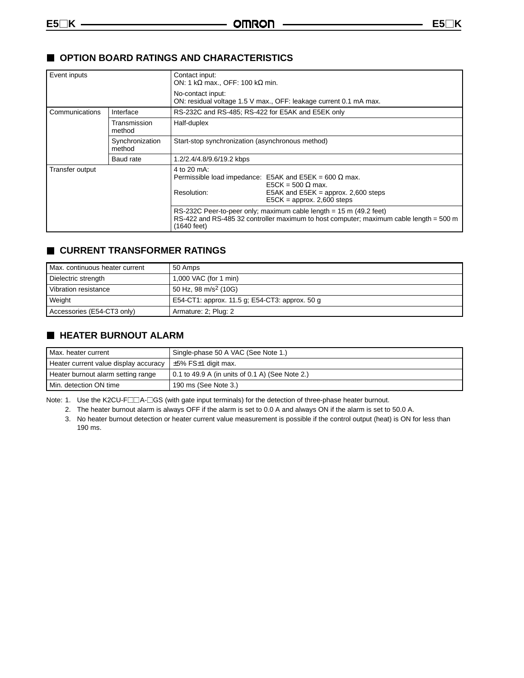## **OPTION BOARD RATINGS AND CHARACTERISTICS**

| Event inputs    |                           | Contact input:<br>ON: 1 k $\Omega$ max., OFF: 100 k $\Omega$ min.                                                                                                                              |  |  |
|-----------------|---------------------------|------------------------------------------------------------------------------------------------------------------------------------------------------------------------------------------------|--|--|
|                 |                           | No-contact input:<br>ON: residual voltage 1.5 V max., OFF: leakage current 0.1 mA max.                                                                                                         |  |  |
| Communications  | Interface                 | RS-232C and RS-485; RS-422 for E5AK and E5EK only                                                                                                                                              |  |  |
|                 | Transmission<br>method    | Half-duplex                                                                                                                                                                                    |  |  |
|                 | Synchronization<br>method | Start-stop synchronization (asynchronous method)                                                                                                                                               |  |  |
|                 | Baud rate                 | 1.2/2.4/4.8/9.6/19.2 kbps                                                                                                                                                                      |  |  |
| Transfer output |                           | 4 to 20 mA:<br>Permissible load impedance: E5AK and E5EK = 600 $\Omega$ max.<br>$E5CK = 500 \Omega$ max.<br>Resolution:<br>E5AK and E5EK = approx. 2,600 steps<br>$E5CK =$ approx. 2,600 steps |  |  |
|                 |                           | RS-232C Peer-to-peer only; maximum cable length = 15 m (49.2 feet)<br>RS-422 and RS-485 32 controller maximum to host computer; maximum cable length = 500 m<br>(1640 feet)                    |  |  |

## **CURRENT TRANSFORMER RATINGS**

| Max. continuous heater current | 50 Amps                                        |
|--------------------------------|------------------------------------------------|
| Dielectric strength            | 1,000 VAC (for 1 min)                          |
| Vibration resistance           | 50 Hz, 98 m/s <sup>2</sup> (10G)               |
| Weight                         | E54-CT1: approx. 11.5 g; E54-CT3: approx. 50 g |
| Accessories (E54-CT3 only)     | Armature: 2; Plug: 2                           |

## **HEATER BURNOUT ALARM**

| Max. heater current                   | Single-phase 50 A VAC (See Note 1.)             |
|---------------------------------------|-------------------------------------------------|
| Heater current value display accuracy | $\pm 5\%$ FS $\pm 1$ digit max.                 |
| Heater burnout alarm setting range    | 0.1 to 49.9 A (in units of 0.1 A) (See Note 2.) |
| Min. detection ON time                | 190 ms (See Note 3.)                            |

Note: 1. Use the K2CU-F $\Box\Box A$ - $\Box$ GS (with gate input terminals) for the detection of three-phase heater burnout.

2. The heater burnout alarm is always OFF if the alarm is set to 0.0 A and always ON if the alarm is set to 50.0 A.

3. No heater burnout detection or heater current value measurement is possible if the control output (heat) is ON for less than 190 ms.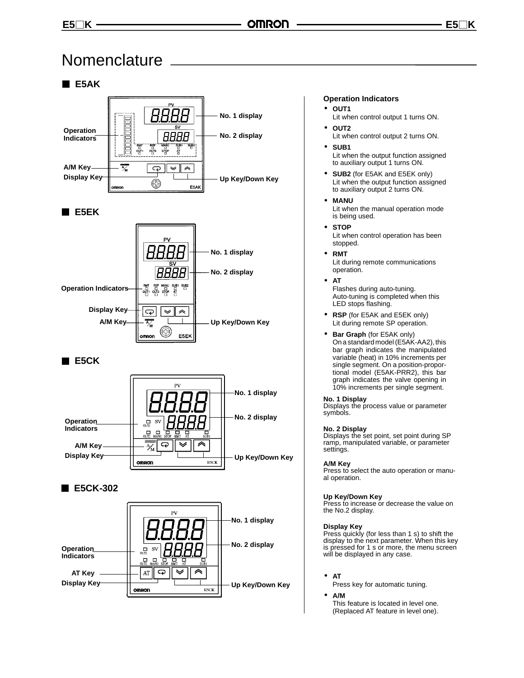## Nomenclature

## **E5AK**



## **E5EK**



## **E5CK**



## **E5CK-302**



#### **Operation Indicators**

- **OUT1**
- Lit when control output 1 turns ON.
- **OUT2** Lit when control output 2 turns ON.
- **SUB1** Lit when the output function assigned to auxiliary output 1 turns ON.
- **SUB2** (for E5AK and E5EK only) Lit when the output function assigned to auxiliary output 2 turns ON.
- **MANU** Lit when the manual operation mode is being used.
- **STOP** Lit when control operation has been stopped.
- **RMT** Lit during remote communications operation.
- **AT**

Flashes during auto-tuning. Auto-tuning is completed when this LED stops flashing.

- **RSP** (for E5AK and E5EK only) Lit during remote SP operation.
- **Bar Graph** (for E5AK only) On a standard model (E5AK-AA2), this bar graph indicates the manipulated variable (heat) in 10% increments per single segment. On a position-proportional model (E5AK-PRR2), this bar graph indicates the valve opening in 10% increments per single segment.

#### **No. 1 Display**

Displays the process value or parameter symbols.

#### **No. 2 Display**

Displays the set point, set point during SP ramp, manipulated variable, or parameter settings.

#### **A/M Key**

Press to select the auto operation or manual operation.

#### **Up Key/Down Key**

Press to increase or decrease the value on the No.2 display.

#### **Display Key**

Press quickly (for less than 1 s) to shift the display to the next parameter. When this key is pressed for 1 s or more, the menu screen will be displayed in any case.

• **AT**

Press key for automatic tuning.

• **A/M**

This feature is located in level one. (Replaced AT feature in level one).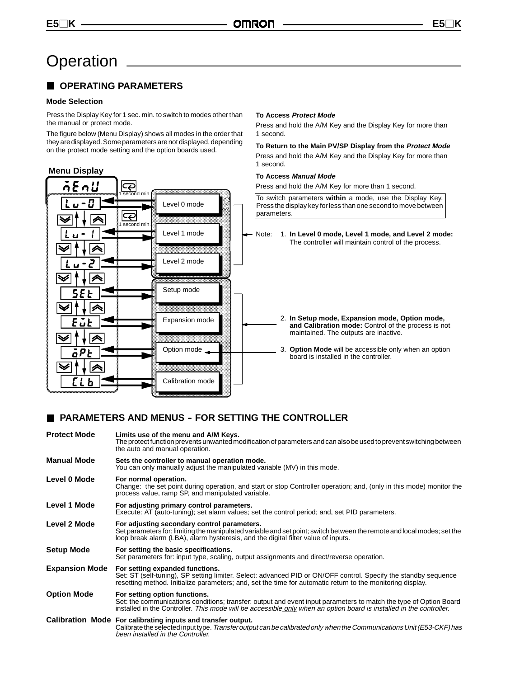# **Operation**

## **COPERATING PARAMETERS**

#### **Mode Selection**

Press the Display Key for 1 sec. min. to switch to modes other than the manual or protect mode.

The figure below (Menu Display) shows all modes in the order that they are displayed. Some parameters are not displayed, depending on the protect mode setting and the option boards used.

#### **Menu Display To Access Manual Mode**  $\overline{\mathcal{P}}$ Press and hold the A/M Key for more than 1 second. n  $\overline{\mathsf{nd}}$  min To switch parameters **within** a mode, use the Display Key. D Level 0 mode Press the display key for less than one second to move between parameters. ∣ఢ second mi Level 1 mode Note: 1. **In Level 0 mode, Level 1 mode, and Level 2 mode:** The controller will maintain control of the process. Level 2 mode Setup mode 2. **In Setup mode, Expansion mode, Option mode,** Expansion mode maintained. The outputs are inactive. ◡ Option mode board is installed in the controller. Calibration mode

## **PARAMETERS AND MENUS - FOR SETTING THE CONTROLLER**

| <b>Protect Mode</b>   | Limits use of the menu and A/M Keys.<br>The protect function prevents unwanted modification of parameters and can also be used to prevent switching between<br>the auto and manual operation.                                                                             |
|-----------------------|---------------------------------------------------------------------------------------------------------------------------------------------------------------------------------------------------------------------------------------------------------------------------|
| <b>Manual Mode</b>    | Sets the controller to manual operation mode.<br>You can only manually adjust the manipulated variable (MV) in this mode.                                                                                                                                                 |
| Level 0 Mode          | For normal operation.<br>Change: the set point during operation, and start or stop Controller operation; and, (only in this mode) monitor the<br>process value, ramp SP, and manipulated variable.                                                                        |
| Level 1 Mode          | For adjusting primary control parameters.<br>Execute: AT (auto-tuning); set alarm values; set the control period; and, set PID parameters.                                                                                                                                |
| Level 2 Mode          | For adjusting secondary control parameters.<br>Set parameters for: limiting the manipulated variable and set point; switch between the remote and local modes; set the<br>loop break alarm (LBA), alarm hysteresis, and the digital filter value of inputs.               |
| <b>Setup Mode</b>     | For setting the basic specifications.<br>Set parameters for: input type, scaling, output assignments and direct/reverse operation.                                                                                                                                        |
| <b>Expansion Mode</b> | For setting expanded functions.<br>Set: ST (self-tuning), SP setting limiter. Select: advanced PID or ON/OFF control. Specify the standby sequence<br>resetting method. Initialize parameters; and, set the time for automatic return to the monitoring display.          |
| <b>Option Mode</b>    | For setting option functions.<br>Set: the communications conditions; transfer: output and event input parameters to match the type of Option Board<br>installed in the Controller. This mode will be accessible only when an option board is installed in the controller. |
|                       | Calibration Mode For calibrating inputs and transfer output.<br>Calibrate the selected input type. Transfer output can be calibrated only when the Communications Unit (E53-CKF) has<br>been installed in the Controller.                                                 |

#### **To Access Protect Mode**

Press and hold the A/M Key and the Display Key for more than 1 second.

#### **To Return to the Main PV/SP Display from the Protect Mode**

Press and hold the A/M Key and the Display Key for more than 1 second.

**and Calibration mode:** Control of the process is not

3. **Option Mode** will be accessible only when an option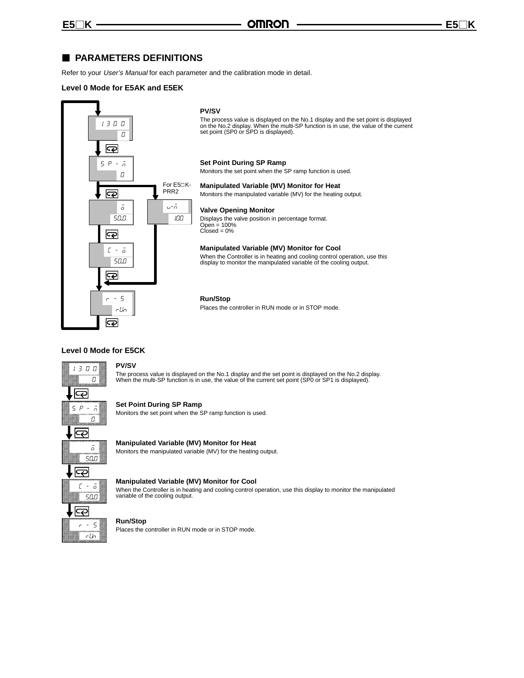## **PARAMETERS DEFINITIONS**

Refer to your User's Manual for each parameter and the calibration mode in detail.

#### **Level 0 Mode for E5AK and E5EK**



#### **PV/SV**

The process value is displayed on the No.1 display and the set point is displayed<br>on the No.2 display. When the multi-SP function is in use, the value of the current<br>set point (SP0 or SPD is displayed).

#### **Set Point During SP Ramp**

Monitors the set point when the SP ramp function is used.

#### **Manipulated Variable (MV) Monitor for Heat**

Monitors the manipulated variable (MV) for the heating output.

#### **Valve Opening Monitor**

Displays the valve position in percentage format. Open = 100%  $Closed = 0%$ 

#### **Manipulated Variable (MV) Monitor for Cool**

When the Controller is in heating and cooling control operation, use this display to monitor the manipulated variable of the cooling output.

#### **Run/Stop**

Places the controller in RUN mode or in STOP mode.

#### **Level 0 Mode for E5CK**



**PV/SV**

The process value is displayed on the No.1 display and the set point is displayed on the No.2 display. When the multi-SP function is in use, the value of the current set point (SP0 or SP1 is displayed).

#### **Set Point During SP Ramp**

Monitors the set point when the SP ramp function is used.

#### **Manipulated Variable (MV) Monitor for Heat** Monitors the manipulated variable (MV) for the heating output.

#### **Manipulated Variable (MV) Monitor for Cool**

When the Controller is in heating and cooling control operation, use this display to monitor the manipulated variable of the cooling output.

#### **Run/Stop**

Places the controller in RUN mode or in STOP mode.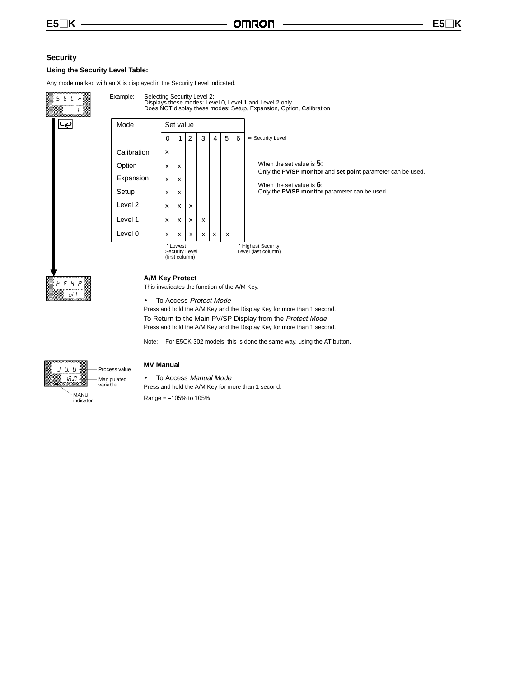#### **Security**

#### **Using the Security Level Table:**

Any mode marked with an X is displayed in the Security Level indicated.



Mode Set value When the set value is **5**: Only the **PV/SP monitor** and **set point** parameter can be used. When the set value is **6**: Only the **PV/SP monitor** parameter can be used. ⇐ Security Level Selecting Security Level 2: Displays these modes: Level 0, Level 1 and Level 2 only. Does NOT display these modes: Setup, Expansion, Option, Calibration  $x \mid x \mid x \mid x \mid x$ x  $x \mid x \mid x \mid x$  $x | x | x$ ⇑ Highest Security Level (last column) ⇑ Lowest  $x \mid x$  $x \mid x$  $x \mid x$  $0 | 1 | 2 | 3 | 4 | 5 | 6$ 

Security Level (first column)



#### **A/M Key Protect**

This invalidates the function of the A/M Key.

• To Access Protect Mode

Press and hold the A/M Key and the Display Key for more than 1 second. To Return to the Main PV/SP Display from the Protect Mode Press and hold the A/M Key and the Display Key for more than 1 second.

Note: For E5CK-302 models, this is done the same way, using the AT button.



#### **MV Manual**

• To Access Manual Mode Press and hold the A/M Key for more than 1 second.

 $Range = -105%$  to 105%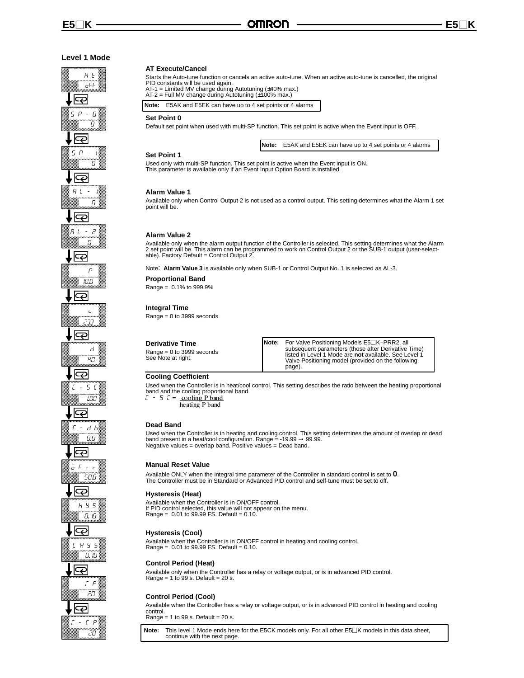## **Level 1 Mode**  $R<sub>t</sub>$ 5FF ౹౽౽  $P - R$ 5  $\overline{\Omega}$ Ð 5  $\mathcal P$ П ∣ఢ Ĥ П. ౹ఢ  $91 - 7$  $\overline{\Omega}$ ౹౽ p --౹౽ Ē  $77:$ ౹ఢ d  $47$ ౹౽  $r - 5$  $\mathcal{L}$ --౹౽  $E - d b$ n<br>0. N  $F -$ -<br>50.O ఢ H Y 5 0. IO ౹౽  $E$   $H$   $H$  5  $\overline{\Omega}$  $! \Omega$ ౹౽  $\Gamma$   $P$ -<br>20 Ģ  $\Gamma - \Gamma P$ -

#### **AT Execute/Cancel**

Starts the Auto-tune function or cancels an active auto-tune. When an active auto-tune is cancelled, the original

PID constants will be used again. AT-1 = Limited MV change during Autotuning (±40% max.) AT-2 = Full MV change during Autotuning (±100% max.)

**Note:** E5AK and E5EK can have up to 4 set points or 4 alarms

#### **Set Point 0**

Default set point when used with multi-SP function. This set point is active when the Event input is OFF.

**Note:** E5AK and E5EK can have up to 4 set points or 4 alarms

#### **Set Point 1**

Used only with multi-SP function. This set point is active when the Event input is ON. This parameter is available only if an Event Input Option Board is installed.

#### **Alarm Value 1**

Available only when Control Output 2 is not used as a control output. This setting determines what the Alarm 1 set point will be.

#### **Alarm Value 2**

Available only when the alarm output function of the Controller is selected. This setting determines what the Alarm<br>2 set point will be. This alarm can be programmed to work on Control Output 2 or the SUB-1 output (user-se

Note: **Alarm Value 3** is available only when SUB-1 or Control Output No. 1 is selected as AL-3.

#### **Proportional Band**

Range = 0.1% to 999.9%

#### **Integral Time**

Range = 0 to 3999 seconds

**Derivative Time** Range = 0 to 3999 seconds See Note at right.

**Note:** For Valve Positioning Models E5□K-PRR2, all subsequent parameters (those after Derivative Time) listed in Level 1 Mode are **not** available. See Level 1 Valve Positioning model (provided on the following page).

#### **Cooling Coefficient**

Used when the Controller is in heat/cool control. This setting describes the ratio between the heating proportional band and the cooling proportional band.<br> $\mathbb{E}$  - 5  $\mathbb{E}$  = cooling P band  $\mathcal{L}$  = <u>cooling</u> P band

heating P band

#### **Dead Band**

Used when the Controller is in heating and cooling control. This setting determines the amount of overlap or dead band present in a heat/cool configuration. Range = -19.99 → 99.99.<br>Negative values = overlap band. Positive values = Dead band.

#### **Manual Reset Value**

Available ONLY when the integral time parameter of the Controller in standard control is set to **0**. The Controller must be in Standard or Advanced PID control and self-tune must be set to off.

#### **Hysteresis (Heat)**

Available when the Controller is in ON/OFF control. If PID control selected, this value will not appear on the menu. Range = 0.01 to 99.99 FS. Default = 0.10.

#### **Hysteresis (Cool)**

Available when the Controller is in ON/OFF control in heating and cooling control. Range = 0.01 to 99.99 FS. Default = 0.10.

#### **Control Period (Heat)**

Available only when the Controller has a relay or voltage output, or is in advanced PID control. Range =  $1$  to 99 s. Default =  $20$  s.

## **Control Period (Cool)**

Available when the Controller has a relay or voltage output, or is in advanced PID control in heating and cooling control.

Range =  $1$  to 99 s. Default =  $20$  s.

Note: This level 1 Mode ends here for the E5CK models only. For all other E5□K models in this data sheet, continue with the next page.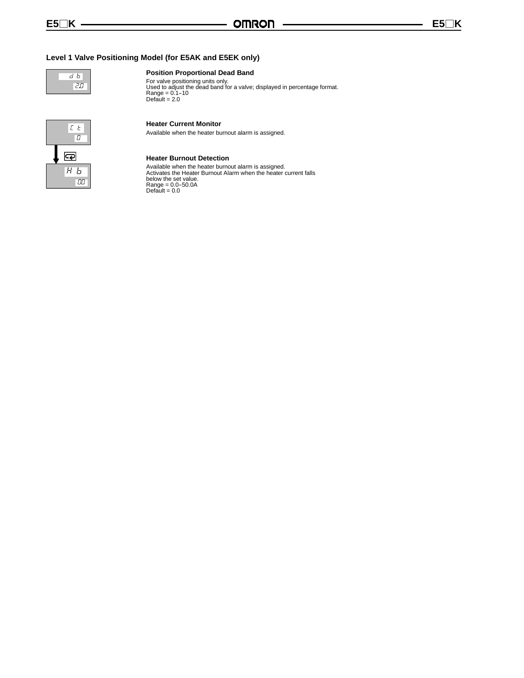## **Level 1 Valve Positioning Model (for E5AK and E5EK only)**



#### **Position Proportional Dead Band**

For valve positioning units only. Used to adjust the dead band for a valve; displayed in percentage format. Range = 0.1--10 Default  $= 2.0$ 



#### **Heater Current Monitor**

Available when the heater burnout alarm is assigned.



**Heater Burnout Detection**

Available when the heater burnout alarm is assigned. Activates the Heater Burnout Alarm when the heater current falls below the set value.<br>Range = 0.0-50.0A<br>Default = 0.0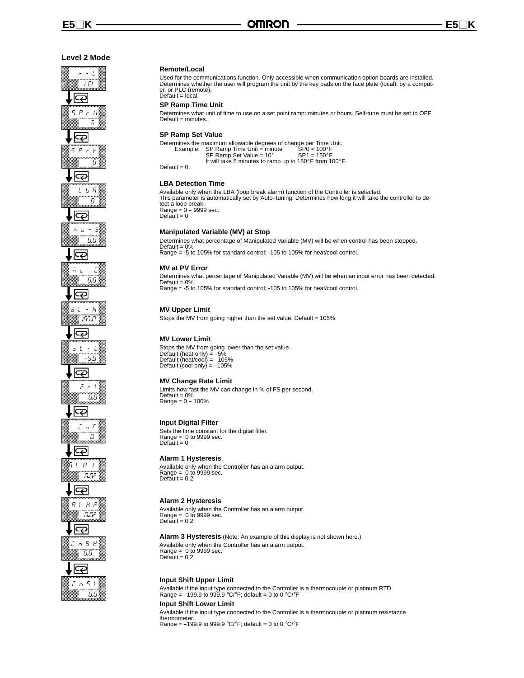#### **Level 2 Mode**

## $-1$  $\overline{1}$ ಧ 5  $P - U$  $\frac{1}{2}$ ౹ఢ  $5 P + E$ -<u>ල</u>  $L$   $h$   $R$  $\overline{a}$ ∣ఢ 5 u. – 5 a.c ౹౽౽  $\bar{n}$   $\sigma$  -  $E$ --∣ಢ  $L - H$ -<br>105.O ౹ఢ  $\bar{a}$  1 = 1  $-5n$ ∣ఢ  $5cL$ 0.O ౹౽  $n \nF$ -ඳ  $L$  H n n 2  $R L H Z$ -המ ౹౽  $S<sub>n</sub> S R$ õ.õ .|දා  $n<sub>5</sub>$  $\cdot$ --

#### **Remote/Local**

Used for the communications function. Only accessible when communication option boards are installed. Determines whether the user will program the unit by the key pads on the face plate (local), by a computer, or PLC (remote). Default = local.

#### **SP Ramp Time Unit**

Determines what unit of time to use on a set point ramp: minutes or hours. Self-tune must be set to OFF Default = minutes.

#### **SP Ramp Set Value**

|                 | Determines the maximum allowable degrees of change per Time Unit. |                      |
|-----------------|-------------------------------------------------------------------|----------------------|
|                 | Example: SP Ramp Time Unit = minute                               | $SP0 = 100^{\circ}F$ |
|                 | SP Ramp Set Value = $10^{\circ}$                                  | $SP1 = 150^{\circ}F$ |
|                 | It will take 5 minutes to ramp up to 150°F from 100°F.            |                      |
| Default = $0$ . |                                                                   |                      |

#### **LBA Detection Time**

Available only when the LBA (loop break alarm) function of the Controller is selected. This parameter is automatically set by Auto--tuning. Determines how long it will take the controller to detect a loop break.<br>Range = 0 - 9999 sec.  $Default = 0$ 

#### **Manipulated Variable (MV) at Stop**

Determines what percentage of Manipulated Variable (MV) will be when control has been stopped. Default = 0% Range = -5 to 105% for standard control; -105 to 105% for heat/cool control.

#### **MV at PV Error**

Determines what percentage of Manipulated Variable (MV) will be when an input error has been detected. Default =  $0%$ Range = -5 to 105% for standard control; -105 to 105% for heat/cool control.

#### **MV Upper Limit**

Stops the MV from going higher than the set value. Default = 105%

#### **MV Lower Limit**

Stops the MV from going lower than the set value.<br>Default (heat only) = -5%<br>Default (heat/cool) = -105% Default  $(cool only) = -105%$ 

#### **MV Change Rate Limit**

Limits how fast the MV can change in % of FS per second.  $Default = 0%$  $Range = 0 - 100%$ 

#### **Input Digital Filter**

Sets the time constant for the digital filter. Range = 0 to 9999 sec. Default = 0

#### **Alarm 1 Hysteresis**

Available only when the Controller has an alarm output. Range =  $0$  to 9999 sec.  $Default = 0.2$ 

#### **Alarm 2 Hysteresis**

Available only when the Controller has an alarm output. Range = 0 to 9999 sec.  $Default = 0.2$ 

#### **Alarm 3 Hysteresis** (Note: An example of this display is not shown here.) Available only when the Controller has an alarm output.

Range =  $0$  to 9999 sec. Default =  $0.2$ 

#### **Input Shift Upper Limit**

Available if the input type connected to the Controller is a thermocouple or platinum RTD.<br>Range = -199.9 to 999.9 °C/°F; default = 0 to 0 °C/°F

## **Input Shift Lower Limit**

Available if the input type connected to the Controller is a thermocouple or platinum resistance thermometer. Range = -199.9 to 999.9 °C/°F; default = 0 to 0 °C/°F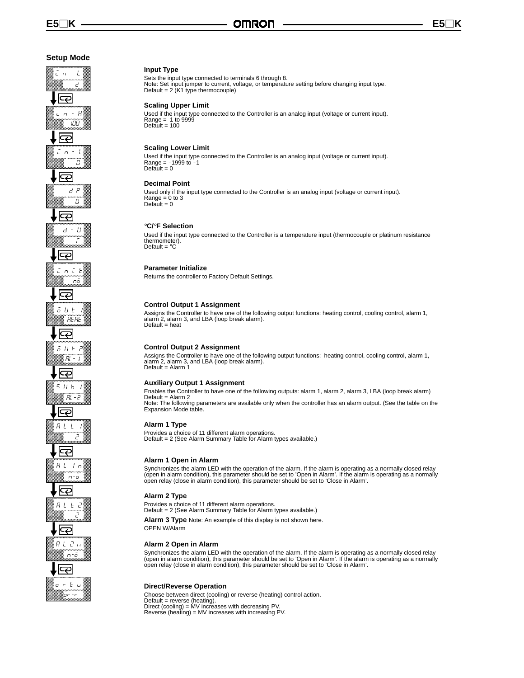#### **Setup Mode**

## $\bar{L}$  n =  $\bar{L}$ ...<br>م  $\overline{\Theta}$  $\bar{L}$   $\alpha$  =  $H$ -in - l П ౹ఢ d P  $\bar{g}$ ∣ఢ  $d - U$ F ౹౽౽ i n i b  $\bar{m}$ ආ  $\bar{a}$  U E HERE ౹ఢ  $5 U E$  $RL -$ <u>ල</u> 5  $U$   $b$ RL - 2 ౹ఢ  $R L E$ Ξ ౹ఢ  $R$   $L$   $I$   $n$ n-ō ఞ  $R L E Z$  $\overline{c}$ احڪا  $R L Z n$  $n - \bar{o}$ ౹౽  $5c E$

ion - r

#### **Input Type**

Sets the input type connected to terminals 6 through 8. Note: Set input jumper to current, voltage, or temperature setting before changing input type. Default = 2 (K1 type thermocouple)

#### **Scaling Upper Limit**

Used if the input type connected to the Controller is an analog input (voltage or current input).<br>Range = 1 to 9999<br>Default = 100

#### **Scaling Lower Limit**

Used if the input type connected to the Controller is an analog input (voltage or current input).<br>Range = -1999 to -1  $Default = 0$ 

#### **Decimal Point**

Used only if the input type connected to the Controller is an analog input (voltage or current input).  $Range = 0$  to 3  $Default = 0$ 

#### °**C/**°**F Selection**

Used if the input type connected to the Controller is a temperature input (thermocouple or platinum resistance thermometer). Default =  $^{\circ}$ C

#### **Parameter Initialize**

Returns the controller to Factory Default Settings.

#### **Control Output 1 Assignment**

Assigns the Controller to have one of the following output functions: heating control, cooling control, alarm 1, alarm 2, alarm 3, and LBA (loop break alarm).  $Default = heat$ 

#### **Control Output 2 Assignment**

Assigns the Controller to have one of the following output functions: heating control, cooling control, alarm 1, alarm 2, alarm 3, and LBA (loop break alarm). Default = Alarm 1

#### **Auxiliary Output 1 Assignment**

Enables the Controller to have one of the following outputs: alarm 1, alarm 2, alarm 3, LBA (loop break alarm) Default = Alarm 2 Note: The following parameters are available only when the controller has an alarm output. (See the table on the Expansion Mode table.

#### **Alarm 1 Type**

Provides a choice of 11 different alarm operations. Default = 2 (See Alarm Summary Table for Alarm types available.)

#### **Alarm 1 Open in Alarm**

Synchronizes the alarm LED with the operation of the alarm. If the alarm is operating as a normally closed relay<br>(open in alarm condition), this parameter should be set to 'Open in Alarm'. If the alarm is operating as a no

#### **Alarm 2 Type**

Provides a choice of 11 different alarm operations. Default = 2 (See Alarm Summary Table for Alarm types available.)

**Alarm 3 Type** Note: An example of this display is not shown here.

OPEN W/Alarm

#### **Alarm 2 Open in Alarm**

Synchronizes the alarm LED with the operation of the alarm. If the alarm is operating as a normally closed relay<br>(open in alarm condition), this parameter should be set to 'Open in Alarm'. If the alarm is operating as a no

#### **Direct/Reverse Operation**

Choose between direct (cooling) or reverse (heating) control action. Default = reverse (heating). Direct (cooling) = MV increases with decreasing PV. Reverse (heating) = MV increases with increasing PV.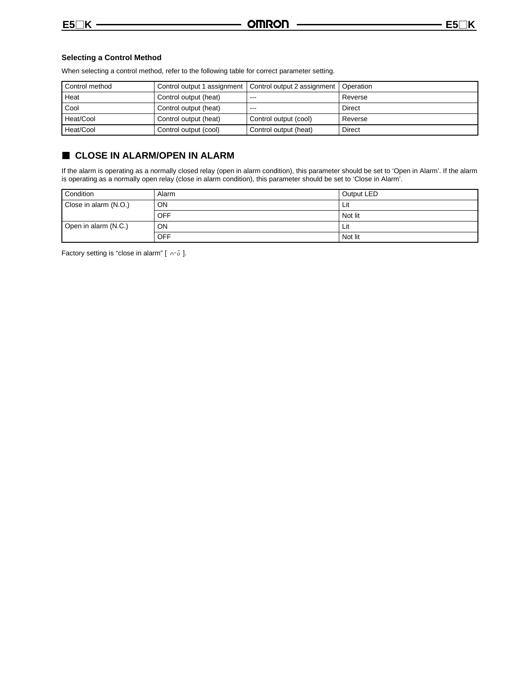#### **Selecting a Control Method**

When selecting a control method, refer to the following table for correct parameter setting.

| Control method |                       | Control output 1 assignment   Control output 2 assignment   Operation |         |
|----------------|-----------------------|-----------------------------------------------------------------------|---------|
| Heat           | Control output (heat) | $- - -$                                                               | Reverse |
| Cool           | Control output (heat) | $- - -$                                                               | Direct  |
| Heat/Cool      | Control output (heat) | Control output (cool)                                                 | Reverse |
| Heat/Cool      | Control output (cool) | Control output (heat)                                                 | Direct  |

## **CLOSE IN ALARM/OPEN IN ALARM**

If the alarm is operating as a normally closed relay (open in alarm condition), this parameter should be set to 'Open in Alarm'. If the alarm is operating as a normally open relay (close in alarm condition), this parameter should be set to 'Close in Alarm'.

| Condition             | Alarm     | Output LED |
|-----------------------|-----------|------------|
| Close in alarm (N.O.) | <b>ON</b> | Lit        |
|                       | OFF       | Not lit    |
| Open in alarm (N.C.)  | <b>ON</b> | Lit        |
|                       | OFF       | Not lit    |

Factory setting is "close in alarm" [ $n-\bar{o}$ ].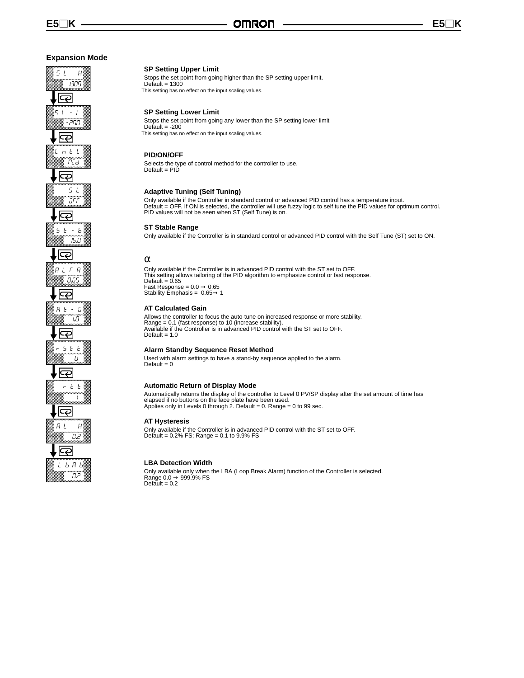n 2

## **SP Setting Upper Limit**

Stops the set point from going higher than the SP setting upper limit.  $Default = 1300$ This setting has no effect on the input scaling values.

#### **SP Setting Lower Limit**

Stops the set point from going any lower than the SP setting lower limit Default  $= -200$ This setting has no effect on the input scaling values.

#### **PID/ON/OFF**

Selects the type of control method for the controller to use. Default = PID

#### **Adaptive Tuning (Self Tuning)**

Only available if the Controller in standard control or advanced PID control has a temperature input.<br>Default = OFF. If ON is selected, the controller will use fuzzy logic to self tune the PID values for optimum control.<br>P

#### **ST Stable Range**

Only available if the Controller is in standard control or advanced PID control with the Self Tune (ST) set to ON.

#### α

Only available if the Controller is in advanced PID control with the ST set to OFF. This setting allows tailoring of the PID algorithm to emphasize control or fast response. Default = 0.65 Fast Response =  $0.0 \rightarrow 0.65$ Stability Emphasis =  $0.65 \rightarrow 1$ 

#### **AT Calculated Gain**

Allows the controller to focus the auto-tune on increased response or more stability. Range = 0.1 (fast response) to 10 (increase stability). Available if the Controller is in advanced PID control with the ST set to OFF. Default  $= 1.0$ 

#### **Alarm Standby Sequence Reset Method**

Used with alarm settings to have a stand-by sequence applied to the alarm. Default = 0

#### **Automatic Return of Display Mode**

Automatically returns the display of the controller to Level 0 PV/SP display after the set amount of time has elapsed if no buttons on the face plate have been used. Applies only in Levels 0 through 2. Default = 0. Range = 0 to 99 sec.

#### **AT Hysteresis**

Only available if the Controller is in advanced PID control with the ST set to OFF. Default = 0.2% FS; Range = 0.1 to 9.9% FS

#### **LBA Detection Width**

Only available only when the LBA (Loop Break Alarm) function of the Controller is selected.<br>Range 0.0 → 999.9% FS<br>Default = 0.2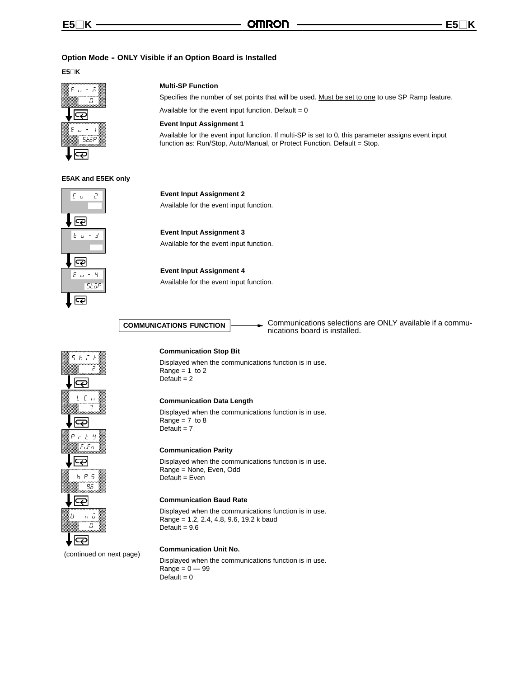#### **Option Mode - ONLY Visible if an Option Board is Installed**

**E5**-**K**



#### **Multi-SP Function**

Specifies the number of set points that will be used. Must be set to one to use SP Ramp feature.

Available for the event input function. Default  $= 0$ 

#### **Event Input Assignment 1**

Available for the event input function. If multi-SP is set to 0, this parameter assigns event input function as: Run/Stop, Auto/Manual, or Protect Function. Default = Stop.

#### **E5AK and E5EK only**



**Event Input Assignment 2** Available for the event input function.

 $\varsigma$  $h \in F$ Ï احڪا  $LEn$ 7 ౹౽  $r \neq 9$  $EuEn$ ౹౽౽  $b$   $P$  5 96  $\overline{\nabla}$  $\sigma$   $\bar{\sigma}$  $\overline{a}$ lZ

(continued on next page)

#### **Communication Stop Bit**

Displayed when the communications function is in use. Range  $= 1$  to 2 Default  $= 2$ 

#### **Communication Data Length**

Displayed when the communications function is in use. Range =  $7$  to  $8$ Default  $= 7$ 

#### **Communication Parity**

Displayed when the communications function is in use. Range = None, Even, Odd Default = Even

#### **Communication Baud Rate**

Displayed when the communications function is in use. Range = 1.2, 2.4, 4.8, 9.6, 19.2 k baud Default =  $9.6$ 

#### **Communication Unit No.**

Displayed when the communications function is in use.  $Range = 0 - 99$ Default  $= 0$ 



Communications selections are ONLY available if a commu-**COMMUNICATIONS FUNCTION**<br>
nications board is installed.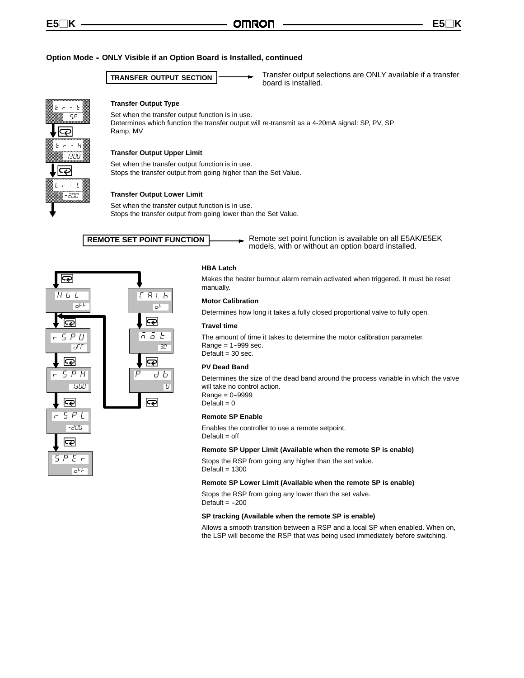#### **Option Mode -- ONLY Visible if an Option Board is Installed, continued**

**TRANSFER OUTPUT SECTION** 

Transfer output selections are ONLY available if a transfer



#### **Transfer Output Type**

Set when the transfer output function is in use. Determines which function the transfer output will re-transmit as a 4-20mA signal: SP, PV, SP Ramp, MV

#### **Transfer Output Upper Limit**

Set when the transfer output function is in use. Stops the transfer output from going higher than the Set Value.

#### **Transfer Output Lower Limit**

Set when the transfer output function is in use. Stops the transfer output from going lower than the Set Value.

**REMOTE SET POINT FUNCTION**

 $C$  $R$  $L$ Ъ

<u>ල</u>

 $\overline{\mathbb{R}}$ 

 $\overline{\mathbf{z}}$ 

oF

 $-3\sqrt{2}$ n o b

a

Remote set point function is available on all E5AK/E5EK models, with or without an option board installed.



#### **HBA Latch**

Makes the heater burnout alarm remain activated when triggered. It must be reset manually.

#### **Motor Calibration**

Determines how long it takes a fully closed proportional valve to fully open.

#### **Travel time**

The amount of time it takes to determine the motor calibration parameter.  $Range = 1 - 999$  sec. Default  $=$  30 sec.

#### **PV Dead Band**

Determines the size of the dead band around the process variable in which the valve will take no control action.  $Range = 0 - 9999$ Default  $= 0$ 

#### **Remote SP Enable**

Enables the controller to use a remote setpoint.  $Default = off$ 

#### **Remote SP Upper Limit (Available when the remote SP is enable)**

Stops the RSP from going any higher than the set value.  $Default = 1300$ 

#### **Remote SP Lower Limit (Available when the remote SP is enable)**

Stops the RSP from going any lower than the set valve. Default  $= -200$ 

#### **SP tracking (Available when the remote SP is enable)**

Allows a smooth transition between a RSP and a local SP when enabled. When on, the LSP will become the RSP that was being used immediately before switching.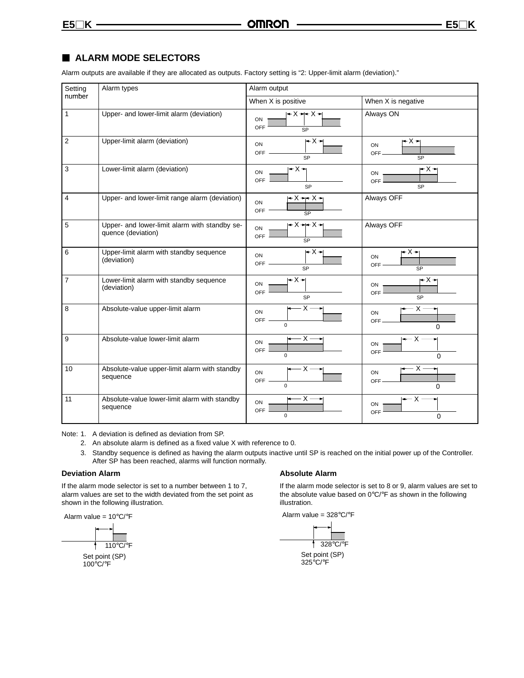## **ALARM MODE SELECTORS**

Alarm outputs are available if they are allocated as outputs. Factory setting is "2: Upper-limit alarm (deviation)."

| Setting        | Alarm types                                                         | Alarm output                                      |                                             |  |  |
|----------------|---------------------------------------------------------------------|---------------------------------------------------|---------------------------------------------|--|--|
| number         |                                                                     | When X is positive                                | When X is negative                          |  |  |
| 1              | Upper- and lower-limit alarm (deviation)                            | $+X++X+$<br>ON<br><b>OFF</b>                      | Always ON                                   |  |  |
| $\overline{2}$ | Upper-limit alarm (deviation)                                       | $-X+$<br>ON<br><b>OFF</b><br><b>SP</b>            | l+X→l<br>ON<br><b>OFF</b><br>SP             |  |  |
| $\mathbf{3}$   | Lower-limit alarm (deviation)                                       | $-X+$<br>ON<br>OFF<br><b>SP</b>                   | r− X →<br>ON<br>OFF<br><b>SP</b>            |  |  |
| 4              | Upper- and lower-limit range alarm (deviation)                      | $ -X - X -$<br>ON<br><b>OFF</b><br>SP             | Always OFF                                  |  |  |
| 5              | Upper- and lower-limit alarm with standby se-<br>quence (deviation) | $-X + X +$<br>ON<br><b>OFF</b><br><b>SP</b>       | Always OFF                                  |  |  |
| 6              | Upper-limit alarm with standby sequence<br>(deviation)              | $+X+$<br>ON<br><b>OFF</b><br><b>SP</b>            | ∸ X → <br>ON<br>OFF<br><b>SP</b>            |  |  |
| $\overline{7}$ | Lower-limit alarm with standby sequence<br>(deviation)              | $+X+$<br>ON<br>OFF<br><b>SP</b>                   | $- X -$<br>ON<br>OFF<br>SP                  |  |  |
| 8              | Absolute-value upper-limit alarm                                    | $\cdot$ X $\cdot$<br>ON<br><b>OFF</b><br>$\Omega$ | – x -<br>ON<br>OFF-<br>$\Omega$             |  |  |
| 9              | Absolute-value lower-limit alarm                                    | $-x -$<br>ON<br><b>OFF</b><br>$\Omega$            | $-\times$<br>ON<br>OFF<br>$\Omega$          |  |  |
| 10             | Absolute-value upper-limit alarm with standby<br>sequence           | $-x -$<br>ON<br><b>OFF</b><br>$\Omega$            | $-$ X $\cdot$<br>ON<br>OFF<br>$\Omega$      |  |  |
| 11             | Absolute-value lower-limit alarm with standby<br>sequence           | $-x-$<br>ON<br>OFF<br>$\mathbf 0$                 | $\leftarrow$ X $-$<br>ON<br>OFF<br>$\Omega$ |  |  |

Note: 1. A deviation is defined as deviation from SP.

- 2. An absolute alarm is defined as a fixed value X with reference to 0.
- 3. Standby sequence is defined as having the alarm outputs inactive until SP is reached on the initial power up of the Controller. After SP has been reached, alarms will function normally.

#### **Deviation Alarm**

If the alarm mode selector is set to a number between 1 to 7, alarm values are set to the width deviated from the set point as shown in the following illustration.

Alarm value = 10°C/°F



100°C/°F

#### **Absolute Alarm**

If the alarm mode selector is set to 8 or 9, alarm values are set to the absolute value based on 0°C/°F as shown in the following illustration.

Alarm value = 328°C/°F

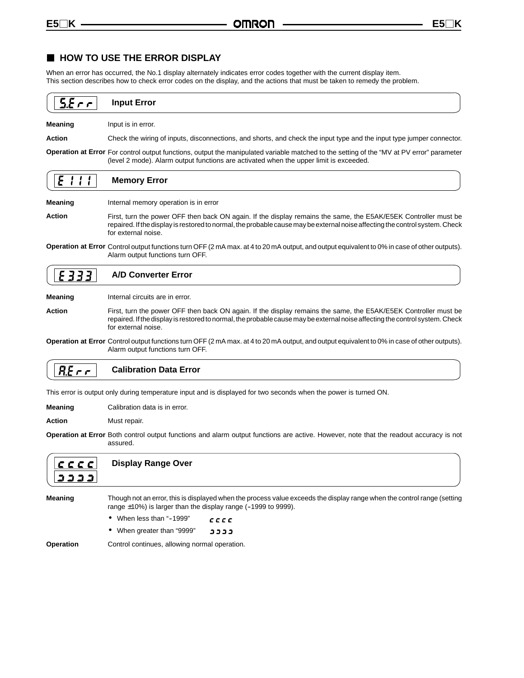## **HOW TO USE THE ERROR DISPLAY**

When an error has occurred, the No.1 display alternately indicates error codes together with the current display item. This section describes how to check error codes on the display, and the actions that must be taken to remedy the problem.

|                | <b>Input Error</b>                                                                                                                                                                                                                                                     |
|----------------|------------------------------------------------------------------------------------------------------------------------------------------------------------------------------------------------------------------------------------------------------------------------|
| <b>Meaning</b> | Input is in error.                                                                                                                                                                                                                                                     |
| Action         | Check the wiring of inputs, disconnections, and shorts, and check the input type and the input type jumper connector.                                                                                                                                                  |
|                | <b>Operation at Error</b> For control output functions, output the manipulated variable matched to the setting of the "MV at PV error" parameter<br>(level 2 mode). Alarm output functions are activated when the upper limit is exceeded.                             |
|                | <b>Memory Error</b>                                                                                                                                                                                                                                                    |
| <b>Meaning</b> | Internal memory operation is in error                                                                                                                                                                                                                                  |
| Action         | First, turn the power OFF then back ON again. If the display remains the same, the E5AK/E5EK Controller must be<br>repaired. If the display is restored to normal, the probable cause may be external noise affecting the control system. Check<br>for external noise. |
|                | Operation at Error Control output functions turn OFF (2 mA max. at 4 to 20 mA output, and output equivalent to 0% in case of other outputs).                                                                                                                           |

#### E333 **A/D Converter Error**

Alarm output functions turn OFF.

**Meaning** Internal circuits are in error.

**Action** First, turn the power OFF then back ON again. If the display remains the same, the E5AK/E5EK Controller must be repaired. If the display is restored to normal, the probable cause may be external noise affecting the control system. Check for external noise.

**Operation at Error** Control output functions turn OFF (2 mA max. at 4 to 20 mA output, and output equivalent to 0% in case of other outputs). Alarm output functions turn OFF.

#### $R.E \cap r$ **Calibration Data Error**

This error is output only during temperature input and is displayed for two seconds when the power is turned ON.

**Meaning** Calibration data is in error.

Action Must repair.

**Operation at Error** Both control output functions and alarm output functions are active. However, note that the readout accuracy is not assured.



**Display Range Over**

**Meaning** Though not an error, this is displayed when the process value exceeds the display range when the control range (setting range  $\pm 10$ %) is larger than the display range (-1999 to 9999).

- When less than "-1999"  $C C C C$
- When greater than "9999" **CCCC**

**Operation** Control continues, allowing normal operation.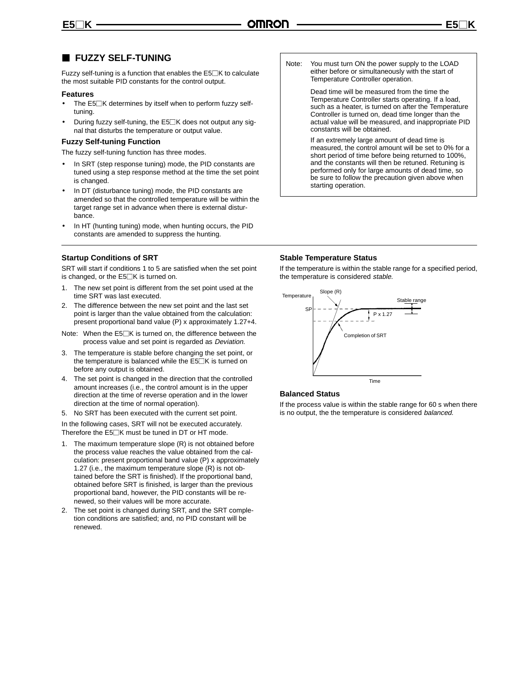## **FUZZY SELF-TUNING**

Fuzzy self-tuning is a function that enables the  $E5\Box K$  to calculate the most suitable PID constants for the control output.

#### **Features**

- The  $E5\Box K$  determines by itself when to perform fuzzy selftuning.
- During fuzzy self-tuning, the  $E5\Box K$  does not output any signal that disturbs the temperature or output value.

#### **Fuzzy Self-tuning Function**

The fuzzy self-tuning function has three modes.

- In SRT (step response tuning) mode, the PID constants are tuned using a step response method at the time the set point is changed.
- In DT (disturbance tuning) mode, the PID constants are amended so that the controlled temperature will be within the target range set in advance when there is external disturbance.
- In HT (hunting tuning) mode, when hunting occurs, the PID constants are amended to suppress the hunting.

#### **Startup Conditions of SRT**

SRT will start if conditions 1 to 5 are satisfied when the set point is changed, or the  $E5\Box K$  is turned on.

- 1. The new set point is different from the set point used at the time SRT was last executed.
- 2. The difference between the new set point and the last set point is larger than the value obtained from the calculation: present proportional band value (P) x approximately 1.27+4.
- Note: When the  $E5\square K$  is turned on, the difference between the process value and set point is regarded as Deviation.
- 3. The temperature is stable before changing the set point, or the temperature is balanced while the  $E5\Box K$  is turned on before any output is obtained.
- 4. The set point is changed in the direction that the controlled amount increases (i.e., the control amount is in the upper direction at the time of reverse operation and in the lower direction at the time of normal operation).
- 5. No SRT has been executed with the current set point.

In the following cases, SRT will not be executed accurately. Therefore the  $E5\Box K$  must be tuned in DT or HT mode.

- 1. The maximum temperature slope (R) is not obtained before the process value reaches the value obtained from the calculation: present proportional band value (P) x approximately 1.27 (i.e., the maximum temperature slope (R) is not obtained before the SRT is finished). If the proportional band, obtained before SRT is finished, is larger than the previous proportional band, however, the PID constants will be renewed, so their values will be more accurate.
- 2. The set point is changed during SRT, and the SRT completion conditions are satisfied; and, no PID constant will be renewed.

Note: You must turn ON the power supply to the LOAD either before or simultaneously with the start of Temperature Controller operation.

> Dead time will be measured from the time the Temperature Controller starts operating. If a load, such as a heater, is turned on after the Temperature Controller is turned on, dead time longer than the actual value will be measured, and inappropriate PID constants will be obtained.

If an extremely large amount of dead time is measured, the control amount will be set to 0% for a short period of time before being returned to 100%, and the constants will then be retuned. Retuning is performed only for large amounts of dead time, so be sure to follow the precaution given above when starting operation.

#### **Stable Temperature Status**

If the temperature is within the stable range for a specified period, the temperature is considered stable.



#### **Balanced Status**

If the process value is within the stable range for 60 s when there is no output, the the temperature is considered balanced.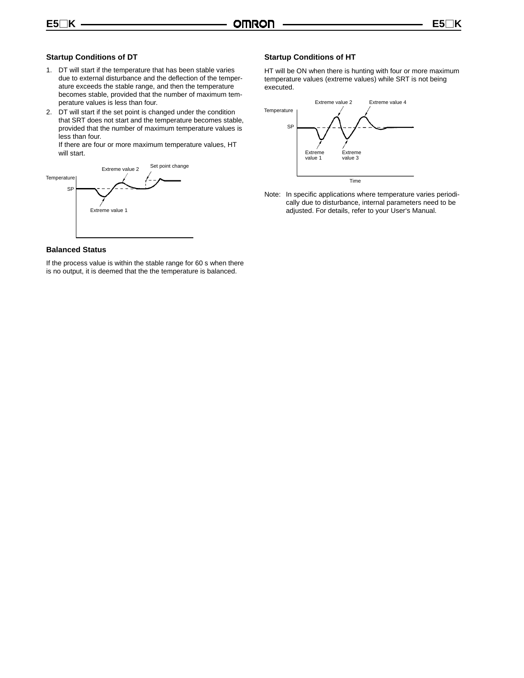#### **Startup Conditions of DT**

- 1. DT will start if the temperature that has been stable varies due to external disturbance and the deflection of the temperature exceeds the stable range, and then the temperature becomes stable, provided that the number of maximum temperature values is less than four.
- 2. DT will start if the set point is changed under the condition that SRT does not start and the temperature becomes stable, provided that the number of maximum temperature values is less than four.

If there are four or more maximum temperature values, HT will start.



#### **Balanced Status**

If the process value is within the stable range for 60 s when there is no output, it is deemed that the the temperature is balanced.

### **Startup Conditions of HT**

HT will be ON when there is hunting with four or more maximum temperature values (extreme values) while SRT is not being executed.



Note: In specific applications where temperature varies periodically due to disturbance, internal parameters need to be adjusted. For details, refer to your User's Manual.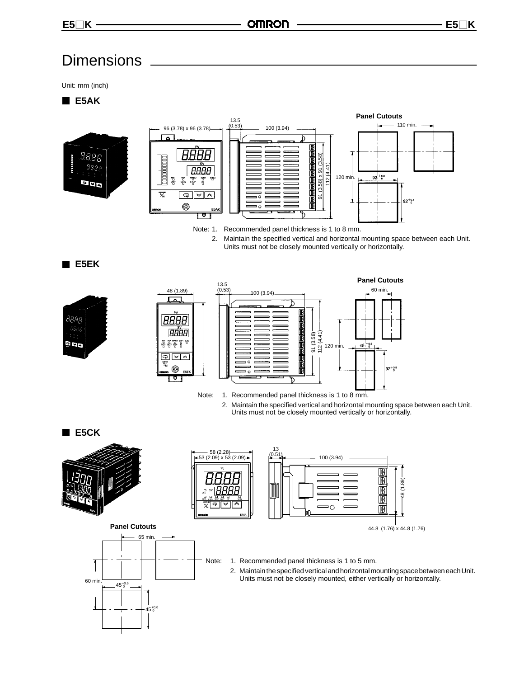## **Dimensions**

Unit: mm (inch)

**E5AK**





Note: 1. Recommended panel thickness is 1 to 8 mm. 2. Maintain the specified vertical and horizontal mounting space between each Unit.

Units must not be closely mounted vertically or horizontally.

**E5EK**





Note: 1. Recommended panel thickness is 1 to 8 mm.

2. Maintain the specified vertical and horizontal mounting space between each Unit. Units must not be closely mounted vertically or horizontally.

**E5CK**







**Panel Cutouts** 65 min.



#### Note: 1. Recommended panel thickness is 1 to 5 mm.

2. Maintain the specified vertical and horizontal mounting space between each Unit. Units must not be closely mounted, either vertically or horizontally.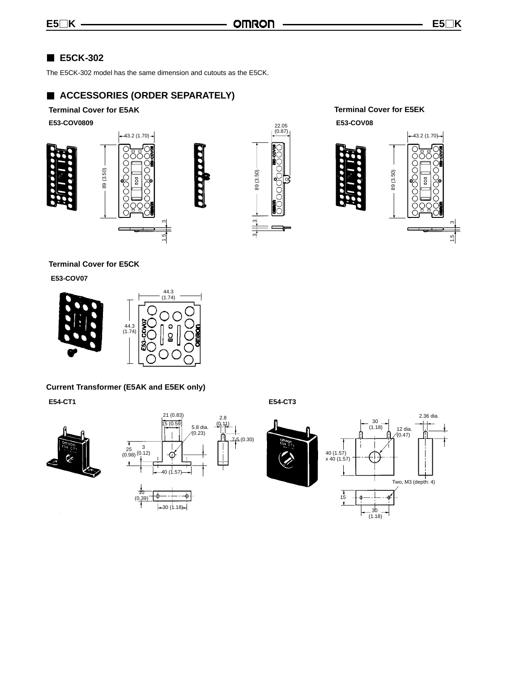## **E5CK-302**

The E5CK-302 model has the same dimension and cutouts as the E5CK.

1.5

ო

## **ACCESSORIES (ORDER SEPARATELY)**





**Terminal Cover for E5AK Terminal Cover for E5EK**



## **Terminal Cover for E5CK**

**E53-COV07**



## **Current Transformer (E5AK and E5EK only)**

**E54-CT1 E54-CT3**





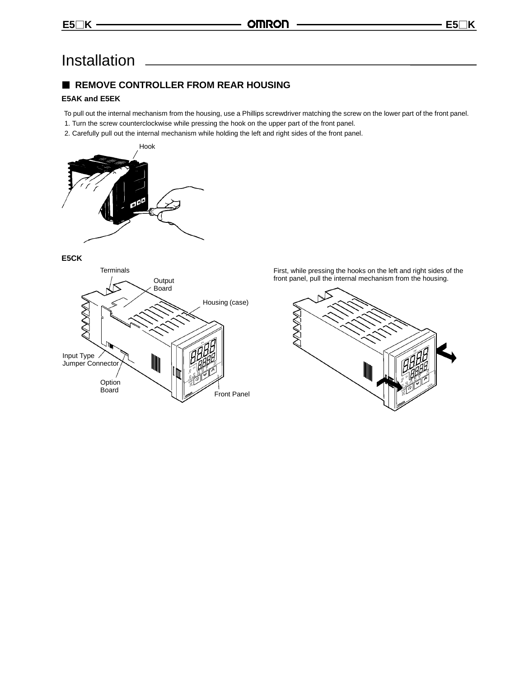## Installation

## **REMOVE CONTROLLER FROM REAR HOUSING**

## **E5AK and E5EK**

- To pull out the internal mechanism from the housing, use a Phillips screwdriver matching the screw on the lower part of the front panel.
- 1. Turn the screw counterclockwise while pressing the hook on the upper part of the front panel.
- 2. Carefully pull out the internal mechanism while holding the left and right sides of the front panel.



**E5CK**



First, while pressing the hooks on the left and right sides of the front panel, pull the internal mechanism from the housing.

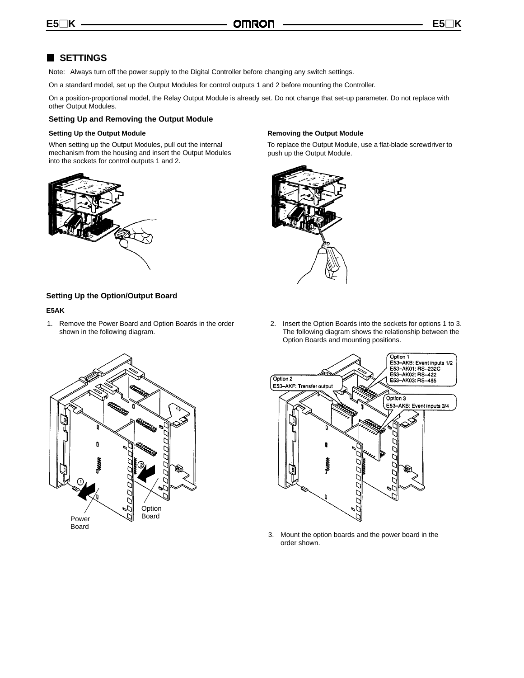## **SETTINGS**

Note: Always turn off the power supply to the Digital Controller before changing any switch settings.

On a standard model, set up the Output Modules for control outputs 1 and 2 before mounting the Controller.

On a position-proportional model, the Relay Output Module is already set. Do not change that set-up parameter. Do not replace with other Output Modules.

#### **Setting Up and Removing the Output Module**

#### **Setting Up the Output Module**

When setting up the Output Modules, pull out the internal mechanism from the housing and insert the Output Modules into the sockets for control outputs 1 and 2.



## **Removing the Output Module**

To replace the Output Module, use a flat-blade screwdriver to push up the Output Module.



#### **Setting Up the Option/Output Board**

#### **E5AK**

- 1. Remove the Power Board and Option Boards in the order shown in the following diagram.
- 2. Insert the Option Boards into the sockets for options 1 to 3. The following diagram shows the relationship between the Option Boards and mounting positions.



- Option 1 Upuon<br>E53–AKB: Event inputs 1/2<br>E53–AK01: RS–232C<br>E53–AK02: RS–422<br>E53–AK03: RS–485 Option 2 E53-AKF: Transfer output Ontion 3 E53-AKB: Event inputs 3/4 û
- 3. Mount the option boards and the power board in the order shown.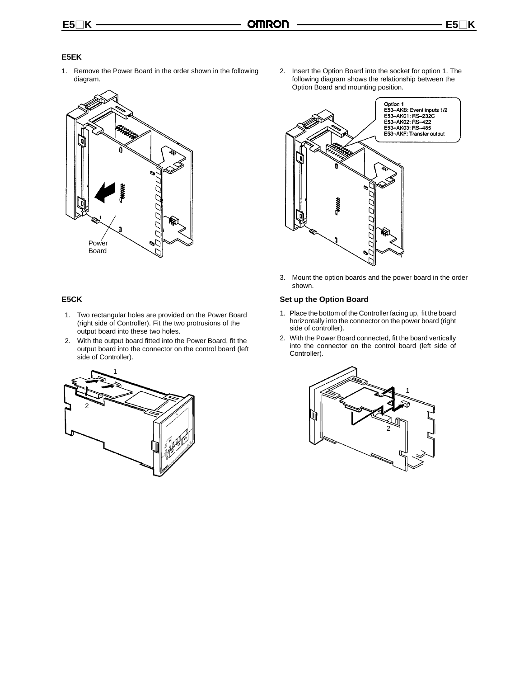## **E5EK**

1. Remove the Power Board in the order shown in the following diagram.



### **E5CK**

- 1. Two rectangular holes are provided on the Power Board (right side of Controller). Fit the two protrusions of the output board into these two holes.
- 2. With the output board fitted into the Power Board, fit the output board into the connector on the control board (left side of Controller).



2. Insert the Option Board into the socket for option 1. The following diagram shows the relationship between the Option Board and mounting position.



3. Mount the option boards and the power board in the order shown.

## **Set up the Option Board**

- 1. Place the bottom of the Controller facing up, fit the board horizontally into the connector on the power board (right side of controller).
- 2. With the Power Board connected, fit the board vertically into the connector on the control board (left side of Controller).

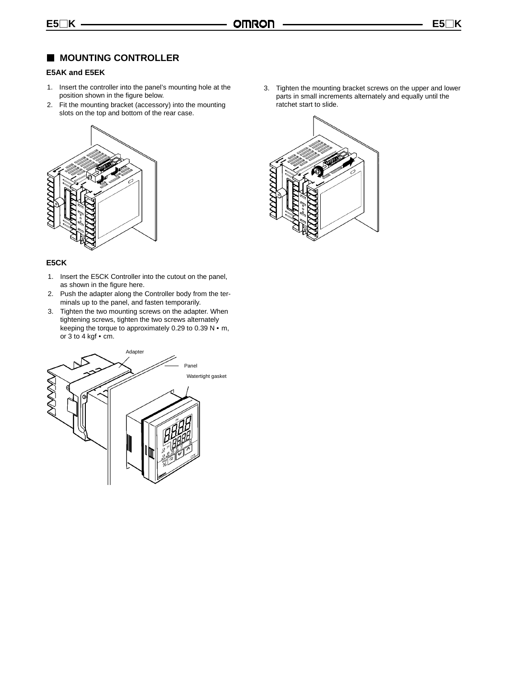## **MOUNTING CONTROLLER**

### **E5AK and E5EK**

- 1. Insert the controller into the panel's mounting hole at the position shown in the figure below.
- 2. Fit the mounting bracket (accessory) into the mounting slots on the top and bottom of the rear case.



#### **E5CK**

- 1. Insert the E5CK Controller into the cutout on the panel, as shown in the figure here.
- 2. Push the adapter along the Controller body from the terminals up to the panel, and fasten temporarily.
- 3. Tighten the two mounting screws on the adapter. When tightening screws, tighten the two screws alternately keeping the torque to approximately 0.29 to 0.39 N  $\cdot$  m, or  $3$  to  $4$  kgf  $\cdot$  cm.



3. Tighten the mounting bracket screws on the upper and lower parts in small increments alternately and equally until the ratchet start to slide.

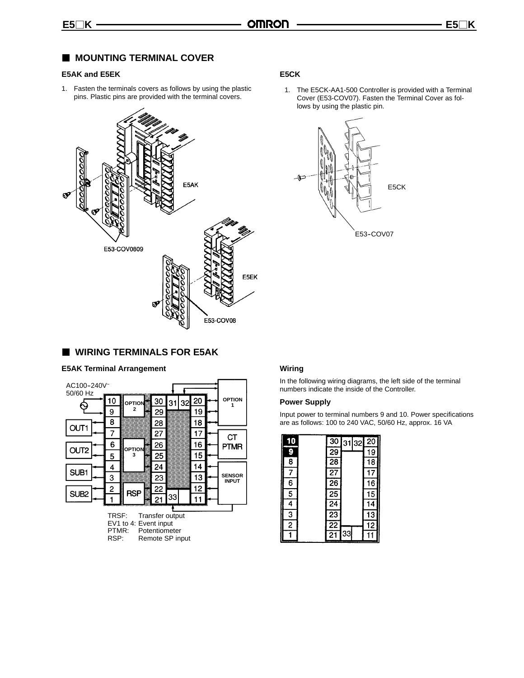## **MOUNTING TERMINAL COVER**

#### **E5AK and E5EK**

1. Fasten the terminals covers as follows by using the plastic pins. Plastic pins are provided with the terminal covers.



#### **E5CK**

1. The E5CK-AA1-500 Controller is provided with a Terminal Cover (E53-COV07). Fasten the Terminal Cover as follows by using the plastic pin.



## **WIRING TERMINALS FOR E5AK**

#### **E5AK Terminal Arrangement**



## **Wiring**

In the following wiring diagrams, the left side of the terminal numbers indicate the inside of the Controller.

#### **Power Supply**

Input power to terminal numbers 9 and 10. Power specifications are as follows: 100 to 240 VAC, 50/60 Hz, approx. 16 VA

| 10                      |                 | 30 31 32 | 20              |
|-------------------------|-----------------|----------|-----------------|
| 9                       | $\overline{29}$ |          | 19              |
| $\overline{\mathbf{g}}$ | 28              |          | $\overline{18}$ |
| 7                       | $\overline{27}$ |          | 17              |
| 6                       | $\overline{26}$ |          | $\overline{16}$ |
| $\overline{5}$          | $\overline{25}$ |          | 15              |
| $\overline{4}$          | $\overline{24}$ |          | 14              |
| $\overline{3}$          | $\overline{23}$ |          | $\overline{13}$ |
| $\overline{2}$          | $\overline{22}$ |          | $\overline{12}$ |
|                         | $\mathbf{S}$    | 33       |                 |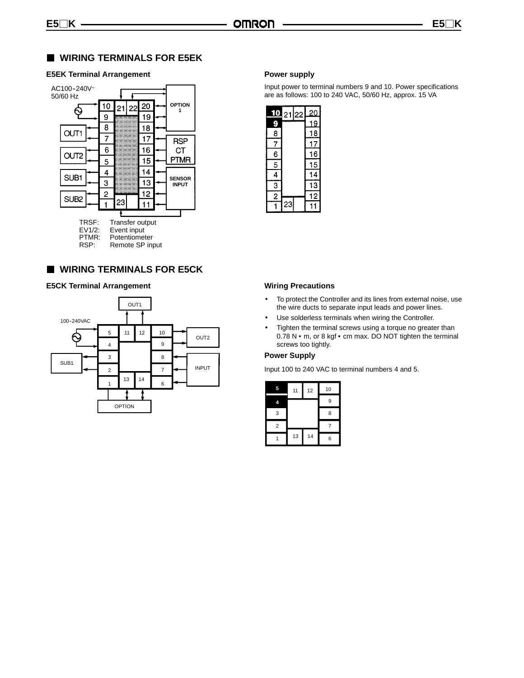## **WIRING TERMINALS FOR E5EK**

### **E5EK Terminal Arrangement**



## **WIRING TERMINALS FOR E5CK**

#### **E5CK Terminal Arrangement**



#### **Power supply**

Input power to terminal numbers 9 and 10. Power specifications are as follows: 100 to 240 VAC, 50/60 Hz, approx. 15 VA



#### **Wiring Precautions**

- To protect the Controller and its lines from external noise, use the wire ducts to separate input leads and power lines.
- Use solderless terminals when wiring the Controller.
- Tighten the terminal screws using a torque no greater than  $0.78$  N  $\cdot$  m, or 8 kgf  $\cdot$  cm max. DO NOT tighten the terminal screws too tightly.

#### **Power Supply**

Input 100 to 240 VAC to terminal numbers 4 and 5.

| 5              | 11 | 12 | 10 |
|----------------|----|----|----|
|                |    |    | 9  |
| 3              |    |    | 8  |
| $\overline{2}$ |    |    | 7  |
|                | 13 | 14 | 6  |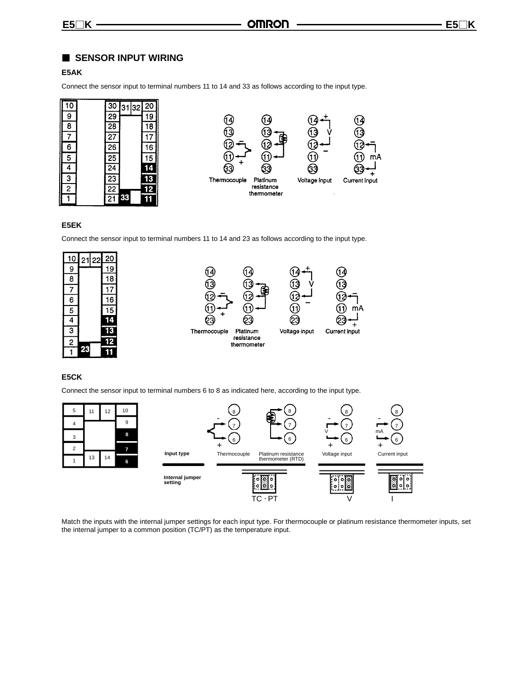## **SENSOR INPUT WIRING**

## **E5AK**

Connect the sensor input to terminal numbers 11 to 14 and 33 as follows according to the input type.



### **E5EK**

Connect the sensor input to terminal numbers 11 to 14 and 23 as follows according to the input type.



#### **E5CK**

Connect the sensor input to terminal numbers 6 to 8 as indicated here, according to the input type.



Match the inputs with the internal jumper settings for each input type. For thermocouple or platinum resistance thermometer inputs, set the internal jumper to a common position (TC/PT) as the temperature input.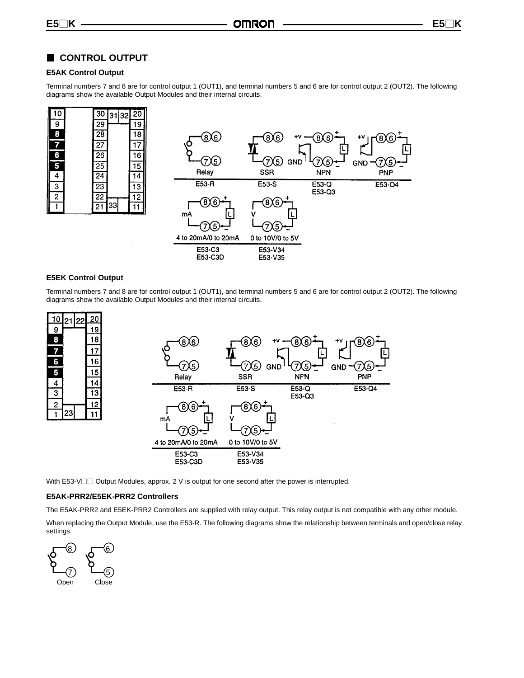## **CONTROL OUTPUT**

#### **E5AK Control Output**

Terminal numbers 7 and 8 are for control output 1 (OUT1), and terminal numbers 5 and 6 are for control output 2 (OUT2). The following diagrams show the available Output Modules and their internal circuits.





#### **E5EK Control Output**

Terminal numbers 7 and 8 are for control output 1 (OUT1), and terminal numbers 5 and 6 are for control output 2 (OUT2). The following diagrams show the available Output Modules and their internal circuits.



With  $E53-V\square\Box$  Output Modules, approx. 2 V is output for one second after the power is interrupted.

#### **E5AK-PRR2/E5EK-PRR2 Controllers**

The E5AK-PRR2 and E5EK-PRR2 Controllers are supplied with relay output. This relay output is not compatible with any other module.

When replacing the Output Module, use the E53-R. The following diagrams show the relationship between terminals and open/close relay settings.

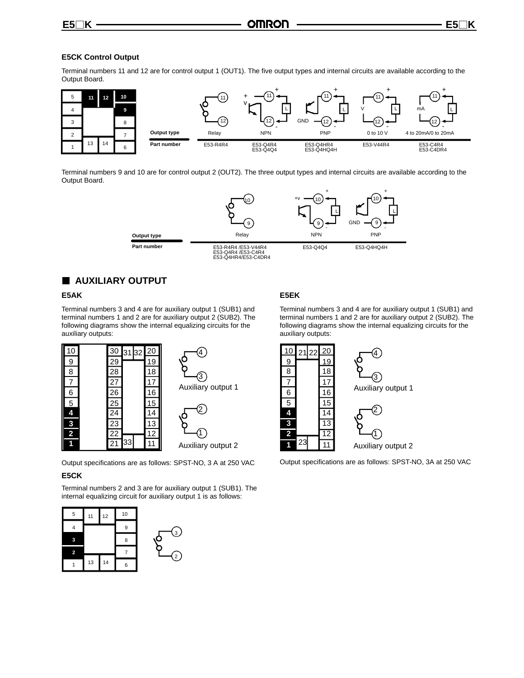### **E5CK Control Output**

Terminal numbers 11 and 12 are for control output 1 (OUT1). The five output types and internal circuits are available according to the Output Board.



Terminal numbers 9 and 10 are for control output 2 (OUT2). The three output types and internal circuits are available according to the Output Board.



## **AUXILIARY OUTPUT**

## **E5AK**

Terminal numbers 3 and 4 are for auxiliary output 1 (SUB1) and terminal numbers 1 and 2 are for auxiliary output 2 (SUB2). The following diagrams show the internal equalizing circuits for the auxiliary outputs:



Output specifications are as follows: SPST-NO, 3 A at 250 VAC

#### **E5CK**

Terminal numbers 2 and 3 are for auxiliary output 1 (SUB1). The internal equalizing circuit for auxiliary output 1 is as follows:



## **E5EK**

Terminal numbers 3 and 4 are for auxiliary output 1 (SUB1) and terminal numbers 1 and 2 are for auxiliary output 2 (SUB2). The following diagrams show the internal equalizing circuits for the auxiliary outputs:



Output specifications are as follows: SPST-NO, 3A at 250 VAC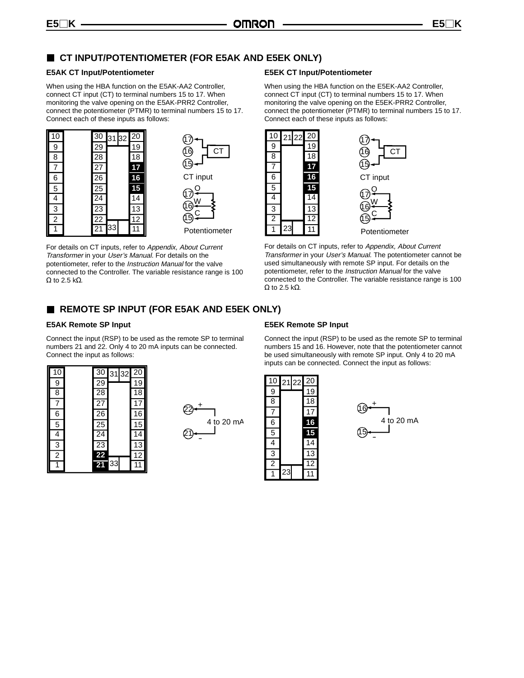## **CT INPUT/POTENTIOMETER (FOR E5AK AND E5EK ONLY)**

#### **E5AK CT Input/Potentiometer**

When using the HBA function on the E5AK-AA2 Controller, connect CT input (CT) to terminal numbers 15 to 17. When monitoring the valve opening on the E5AK-PRR2 Controller, connect the potentiometer (PTMR) to terminal numbers 15 to 17. Connect each of these inputs as follows:





For details on CT inputs, refer to Appendix, About Current Transformer in your User's Manual. For details on the potentiometer, refer to the Instruction Manual for the valve connected to the Controller. The variable resistance range is 100  $Ω$  to 2.5 k $Ω$ .

### **E5EK CT Input/Potentiometer**

When using the HBA function on the E5EK-AA2 Controller, connect CT input (CT) to terminal numbers 15 to 17. When monitoring the valve opening on the E5EK-PRR2 Controller, connect the potentiometer (PTMR) to terminal numbers 15 to 17. Connect each of these inputs as follows:



For details on CT inputs, refer to Appendix, About Current Transformer in your User's Manual. The potentiometer cannot be used simultaneously with remote SP input. For details on the potentiometer, refer to the Instruction Manual for the valve connected to the Controller. The variable resistance range is 100  $Ω$  to 2.5 k $Ω$ .

## **REMOTE SP INPUT (FOR E5AK AND E5EK ONLY)**

### **E5AK Remote SP Input**

Connect the input (RSP) to be used as the remote SP to terminal numbers 21 and 22. Only 4 to 20 mA inputs can be connected. Connect the input as follows:

| 10             | $\overline{30}$ | 3132 | 20              |
|----------------|-----------------|------|-----------------|
| 9              | $\overline{29}$ |      | 19              |
| $\overline{8}$ | $\overline{28}$ |      | $\overline{18}$ |
| 7              | 27              |      | 17              |
| 6              | $\overline{26}$ |      | $\overline{16}$ |
| $\overline{5}$ | $\overline{25}$ |      | 15              |
| $\overline{4}$ | $\overline{24}$ |      | $\overline{14}$ |
| $\overline{3}$ | $\overline{23}$ |      | $\overline{13}$ |
| $\overline{2}$ | 22              |      | $\overline{12}$ |
| 1              | $\overline{21}$ | 33   |                 |



## **E5EK Remote SP Input**

Connect the input (RSP) to be used as the remote SP to terminal numbers 15 and 16. However, note that the potentiometer cannot be used simultaneously with remote SP input. Only 4 to 20 mA inputs can be connected. Connect the input as follows:



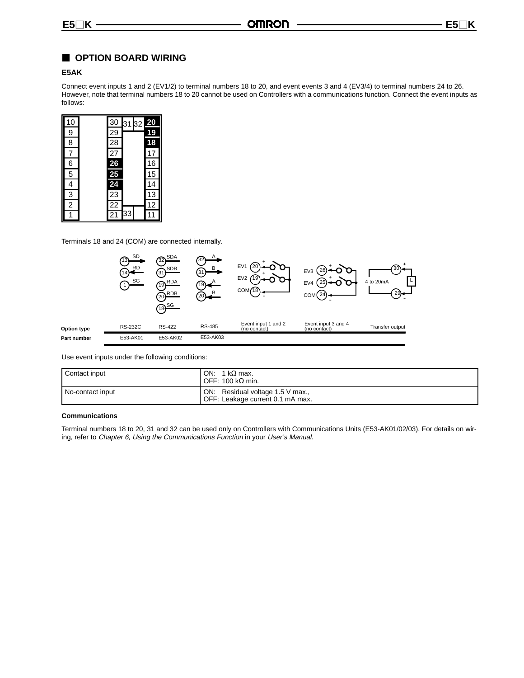## **OPTION BOARD WIRING**

#### **E5AK**

Connect event inputs 1 and 2 (EV1/2) to terminal numbers 18 to 20, and event events 3 and 4 (EV3/4) to terminal numbers 24 to 26. However, note that terminal numbers 18 to 20 cannot be used on Controllers with a communications function. Connect the event inputs as follows:

| 10             | 30                                                                    | 3132 | $\overline{20}$ |
|----------------|-----------------------------------------------------------------------|------|-----------------|
| 9              |                                                                       |      | <u>19</u>       |
| 8              | $\frac{29}{28}$                                                       |      | 18              |
| 7              | $\overline{27}$                                                       |      | 17              |
| 6              | $\begin{array}{r}\n 26 \\  \hline\n 25 \\  \hline\n 24\n \end{array}$ |      | 16              |
| 5              |                                                                       |      | 15              |
| 4              |                                                                       |      | 14              |
| 3              | $\overline{23}$                                                       |      | 13              |
| $\overline{2}$ | $\overline{22}$                                                       |      | $\overline{12}$ |
|                | 21                                                                    | 33   |                 |

Terminals 18 and 24 (COM) are connected internally.



Use event inputs under the following conditions:

| Contact input    | ON: 1 k $\Omega$ max.<br>OFF: 100 kΩ min.                            |
|------------------|----------------------------------------------------------------------|
| No-contact input | ON: Residual voltage 1.5 V max.,<br>OFF: Leakage current 0.1 mA max. |

#### **Communications**

Terminal numbers 18 to 20, 31 and 32 can be used only on Controllers with Communications Units (E53-AK01/02/03). For details on wiring, refer to Chapter 6, Using the Communications Function in your User's Manual.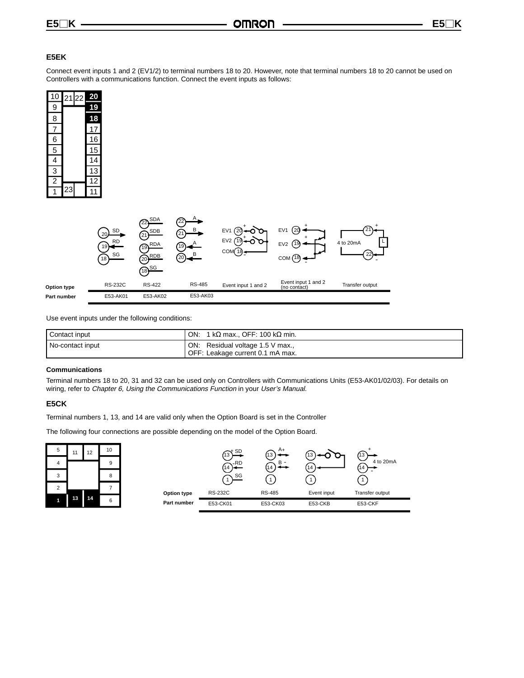## **E5EK**

Connect event inputs 1 and 2 (EV1/2) to terminal numbers 18 to 20. However, note that terminal numbers 18 to 20 cannot be used on Controllers with a communications function. Connect the event inputs as follows:

| 10             | 2122 | <u>20</u> |
|----------------|------|-----------|
| 9              |      | 19        |
| 8              |      | 18        |
| 7              |      | 17        |
| 6              |      | 16        |
| $\overline{5}$ |      | 15        |
| $\overline{4}$ |      | 14        |
| $\overline{3}$ |      | 13        |
| $\overline{2}$ |      | 12        |
|                | 23   | 11        |



Use event inputs under the following conditions:

| Contact input    | 1 k $\Omega$ max., OFF: 100 k $\Omega$ min.<br>ON:                   |
|------------------|----------------------------------------------------------------------|
| No-contact input | ON: Residual voltage 1.5 V max.,<br>OFF: Leakage current 0.1 mA max. |

#### **Communications**

Terminal numbers 18 to 20, 31 and 32 can be used only on Controllers with Communications Units (E53-AK01/02/03). For details on wiring, refer to Chapter 6, Using the Communications Function in your User's Manual.

#### **E5CK**

Terminal numbers 1, 13, and 14 are valid only when the Option Board is set in the Controller

The following four connections are possible depending on the model of the Option Board.

| 5<br>4 | 11 | 12 | 10<br>9 |             | $\rtimes$ SD<br>13<br><b>、</b> -RD<br>14 | $A_{+}$<br>B -<br>14. | 14          | L.J<br>4 to 20mA<br>14 |
|--------|----|----|---------|-------------|------------------------------------------|-----------------------|-------------|------------------------|
| 3      |    |    | 8       |             | SG                                       |                       |             |                        |
| 2      |    |    |         | Option type | <b>RS-232C</b>                           | <b>RS-485</b>         | Event input | Transfer output        |
|        | 13 | 14 | 6       | Part number | E53-CK01                                 | E53-CK03              | E53-CKB     | E53-CKF                |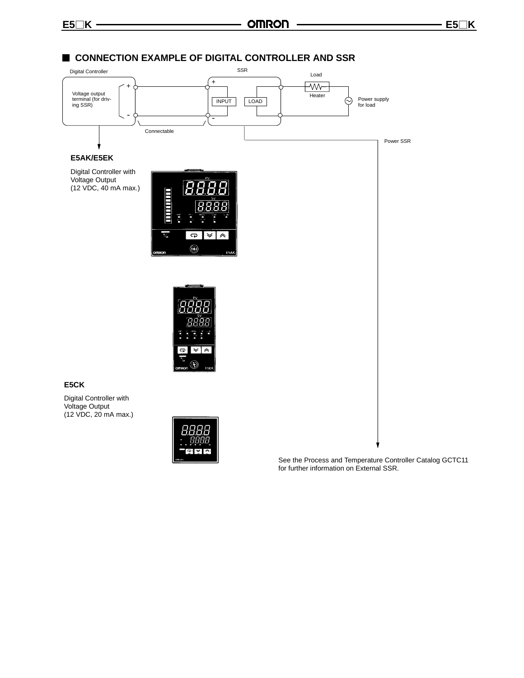

See the Process and Temperature Controller Catalog GCTC11 for further information on External SSR.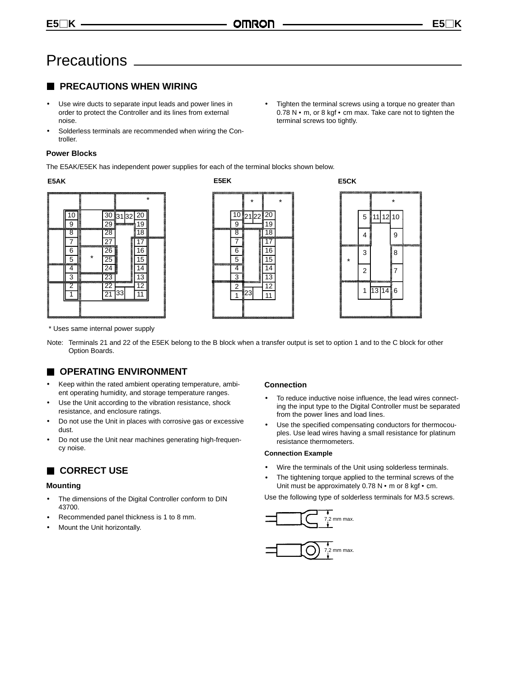## **Precautions**

## **PRECAUTIONS WHEN WIRING**

- Use wire ducts to separate input leads and power lines in order to protect the Controller and its lines from external noise.
- Solderless terminals are recommended when wiring the Controller.
- Tighten the terminal screws using a torque no greater than  $0.78$  N  $\cdot$  m, or 8 kgf  $\cdot$  cm max. Take care not to tighten the terminal screws too tightly.

## **Power Blocks**

The E5AK/E5EK has independent power supplies for each of the terminal blocks shown below.

#### **E5AK E5EK**







\* Uses same internal power supply

Note: Terminals 21 and 22 of the E5EK belong to the B block when a transfer output is set to option 1 and to the C block for other Option Boards.

## **OPERATING ENVIRONMENT**

- Keep within the rated ambient operating temperature, ambient operating humidity, and storage temperature ranges.
- Use the Unit according to the vibration resistance, shock resistance, and enclosure ratings.
- Do not use the Unit in places with corrosive gas or excessive dust.
- Do not use the Unit near machines generating high-frequency noise.

## **CORRECT USE**

#### **Mounting**

- The dimensions of the Digital Controller conform to DIN 43700.
- Recommended panel thickness is 1 to 8 mm.
- Mount the Unit horizontally.

## **Connection**

- To reduce inductive noise influence, the lead wires connecting the input type to the Digital Controller must be separated from the power lines and load lines.
- Use the specified compensating conductors for thermocouples. Use lead wires having a small resistance for platinum resistance thermometers.

#### **Connection Example**

- Wire the terminals of the Unit using solderless terminals.
- The tightening torque applied to the terminal screws of the Unit must be approximately  $0.78$  N  $\cdot$  m or 8 kgf  $\cdot$  cm.

Use the following type of solderless terminals for M3.5 screws.